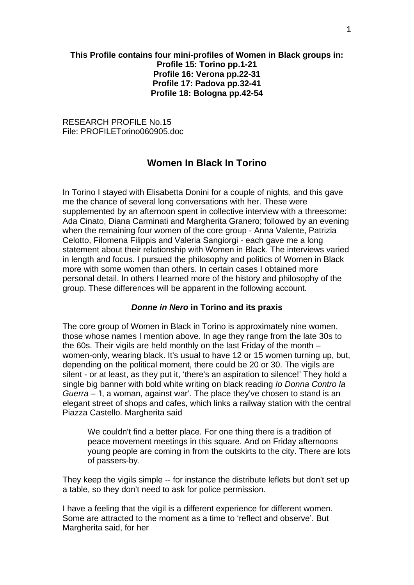# **This Profile contains four mini-profiles of Women in Black groups in: Profile 15: Torino pp.1-21 Profile 16: Verona pp.22-31 Profile 17: Padova pp.32-41 Profile 18: Bologna pp.42-54**

RESEARCH PROFILE No.15 File: PROFILETorino060905.doc

# **Women In Black In Torino**

In Torino I stayed with Elisabetta Donini for a couple of nights, and this gave me the chance of several long conversations with her. These were supplemented by an afternoon spent in collective interview with a threesome: Ada Cinato, Diana Carminati and Margherita Granero; followed by an evening when the remaining four women of the core group - Anna Valente, Patrizia Celotto, Filomena Filippis and Valeria Sangiorgi - each gave me a long statement about their relationship with Women in Black. The interviews varied in length and focus. I pursued the philosophy and politics of Women in Black more with some women than others. In certain cases I obtained more personal detail. In others I learned more of the history and philosophy of the group. These differences will be apparent in the following account.

#### *Donne in Nero* **in Torino and its praxis**

The core group of Women in Black in Torino is approximately nine women, those whose names I mention above. In age they range from the late 30s to the 60s. Their vigils are held monthly on the last Friday of the month – women-only, wearing black. It's usual to have 12 or 15 women turning up, but, depending on the political moment, there could be 20 or 30. The vigils are silent - or at least, as they put it, 'there's an aspiration to silence!' They hold a single big banner with bold white writing on black reading *Io Donna Contro la Guerra – '*I, a woman, against war'. The place they've chosen to stand is an elegant street of shops and cafes, which links a railway station with the central Piazza Castello. Margherita said

We couldn't find a better place. For one thing there is a tradition of peace movement meetings in this square. And on Friday afternoons young people are coming in from the outskirts to the city. There are lots of passers-by.

They keep the vigils simple -- for instance the distribute leflets but don't set up a table, so they don't need to ask for police permission.

I have a feeling that the vigil is a different experience for different women. Some are attracted to the moment as a time to 'reflect and observe'. But Margherita said, for her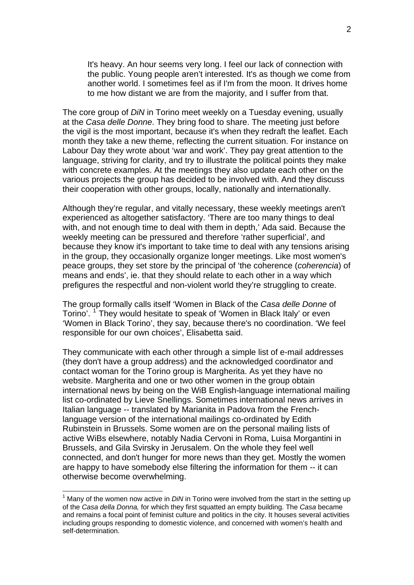It's heavy. An hour seems very long. I feel our lack of connection with the public. Young people aren't interested. It's as though we come from another world. I sometimes feel as if I'm from the moon. It drives home to me how distant we are from the majority, and I suffer from that.

The core group of *DiN* in Torino meet weekly on a Tuesday evening, usually at the *Casa delle Donne*. They bring food to share. The meeting just before the vigil is the most important, because it's when they redraft the leaflet. Each month they take a new theme, reflecting the current situation. For instance on Labour Day they wrote about 'war and work'. They pay great attention to the language, striving for clarity, and try to illustrate the political points they make with concrete examples. At the meetings they also update each other on the various projects the group has decided to be involved with. And they discuss their cooperation with other groups, locally, nationally and internationally.

Although they're regular, and vitally necessary, these weekly meetings aren't experienced as altogether satisfactory. 'There are too many things to deal with, and not enough time to deal with them in depth,' Ada said. Because the weekly meeting can be pressured and therefore 'rather superficial', and because they know it's important to take time to deal with any tensions arising in the group, they occasionally organize longer meetings. Like most women's peace groups, they set store by the principal of 'the coherence (*coherencia*) of means and ends', ie. that they should relate to each other in a way which prefigures the respectful and non-violent world they're struggling to create.

The group formally calls itself 'Women in Black of the *Casa delle Donne* of Torino'. <sup>[1](#page-1-0)</sup> They would hesitate to speak of 'Women in Black Italy' or even 'Women in Black Torino', they say, because there's no coordination. 'We feel responsible for our own choices', Elisabetta said.

They communicate with each other through a simple list of e-mail addresses (they don't have a group address) and the acknowledged coordinator and contact woman for the Torino group is Margherita. As yet they have no website. Margherita and one or two other women in the group obtain international news by being on the WiB English-language international mailing list co-ordinated by Lieve Snellings. Sometimes international news arrives in Italian language -- translated by Marianita in Padova from the Frenchlanguage version of the international mailings co-ordinated by Edith Rubinstein in Brussels. Some women are on the personal mailing lists of active WiBs elsewhere, notably Nadia Cervoni in Roma, Luisa Morgantini in Brussels, and Gila Svirsky in Jerusalem. On the whole they feel well connected, and don't hunger for more news than they get. Mostly the women are happy to have somebody else filtering the information for them -- it can otherwise become overwhelming.

1

<span id="page-1-0"></span><sup>&</sup>lt;sup>1</sup> Many of the women now active in *DiN* in Torino were involved from the start in the setting up of the *Casa della Donna,* for which they first squatted an empty building. The *Casa* became and remains a focal point of feminist culture and politics in the city. It houses several activities including groups responding to domestic violence, and concerned with women's health and self-determination.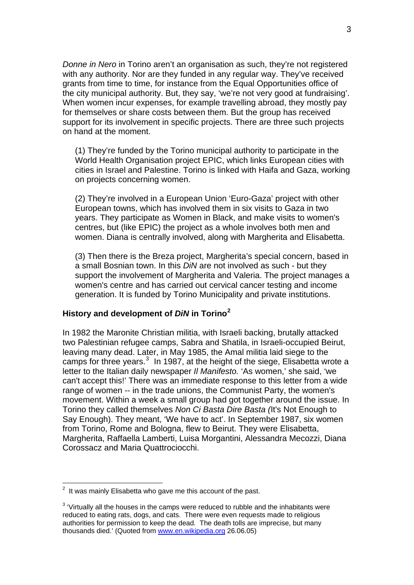*Donne in Nero* in Torino aren't an organisation as such, they're not registered with any authority. Nor are they funded in any regular way. They've received grants from time to time, for instance from the Equal Opportunities office of the city municipal authority. But, they say, 'we're not very good at fundraising'. When women incur expenses, for example travelling abroad, they mostly pay for themselves or share costs between them. But the group has received support for its involvement in specific projects. There are three such projects on hand at the moment.

(1) They're funded by the Torino municipal authority to participate in the World Health Organisation project EPIC, which links European cities with cities in Israel and Palestine. Torino is linked with Haifa and Gaza, working on projects concerning women.

(2) They're involved in a European Union 'Euro-Gaza' project with other European towns, which has involved them in six visits to Gaza in two years. They participate as Women in Black, and make visits to women's centres, but (like EPIC) the project as a whole involves both men and women. Diana is centrally involved, along with Margherita and Elisabetta.

(3) Then there is the Breza project, Margherita's special concern, based in a small Bosnian town. In this *DiN* are not involved as such - but they support the involvement of Margherita and Valeria. The project manages a women's centre and has carried out cervical cancer testing and income generation. It is funded by Torino Municipality and private institutions.

# **History and development of** *DiN* **in Torino[2](#page-2-0)**

In 1982 the Maronite Christian militia, with Israeli backing, brutally attacked two Palestinian refugee camps, Sabra and Shatila, in Israeli-occupied Beirut, leaving many dead. Later, in May 1985, the Amal militia laid siege to the camps for three years.<sup>[3](#page-2-1)</sup> In 1987, at the height of the siege, Elisabetta wrote a letter to the Italian daily newspaper *Il Manifesto.* 'As women,' she said, 'we can't accept this!' There was an immediate response to this letter from a wide range of women -- in the trade unions, the Communist Party, the women's movement. Within a week a small group had got together around the issue. In Torino they called themselves *Non Ci Basta Dire Basta (*It's Not Enough to Say Enough). They meant, 'We have to act'. In September 1987, six women from Torino, Rome and Bologna, flew to Beirut. They were Elisabetta, Margherita, Raffaella Lamberti, Luisa Morgantini, Alessandra Mecozzi, Diana Corossacz and Maria Quattrociocchi.

1

<span id="page-2-0"></span> $2$  It was mainly Elisabetta who gave me this account of the past.

<span id="page-2-1"></span> $3$  'Virtually all the houses in the camps were reduced to rubble and the inhabitants were reduced to eating rats, dogs, and cats. There were even requests made to religious authorities for permission to keep the dead. The death tolls are imprecise, but many thousands died.' (Quoted from [www.en.wikipedia.org](http://www.en.wikipedia.org/) 26.06.05)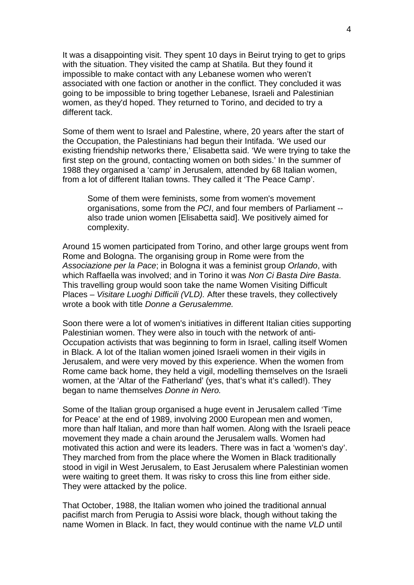It was a disappointing visit. They spent 10 days in Beirut trying to get to grips with the situation. They visited the camp at Shatila. But they found it impossible to make contact with any Lebanese women who weren't associated with one faction or another in the conflict. They concluded it was going to be impossible to bring together Lebanese, Israeli and Palestinian women, as they'd hoped. They returned to Torino, and decided to try a different tack.

Some of them went to Israel and Palestine, where, 20 years after the start of the Occupation, the Palestinians had begun their Intifada. 'We used our existing friendship networks there,' Elisabetta said. 'We were trying to take the first step on the ground, contacting women on both sides.' In the summer of 1988 they organised a 'camp' in Jerusalem, attended by 68 Italian women, from a lot of different Italian towns. They called it 'The Peace Camp'.

Some of them were feminists, some from women's movement organisations, some from the *PCI*, and four members of Parliament - also trade union women [Elisabetta said]. We positively aimed for complexity.

Around 15 women participated from Torino, and other large groups went from Rome and Bologna. The organising group in Rome were from the *Associazione per la Pace*; in Bologna it was a feminist group *Orlando*, with which Raffaella was involved; and in Torino it was *Non Ci Basta Dire Basta*. This travelling group would soon take the name Women Visiting Difficult Places – *Visitare Luoghi Difficili (VLD).* After these travels, they collectively wrote a book with title *Donne a Gerusalemme.*

Soon there were a lot of women's initiatives in different Italian cities supporting Palestinian women. They were also in touch with the network of anti-Occupation activists that was beginning to form in Israel, calling itself Women in Black. A lot of the Italian women joined Israeli women in their vigils in Jerusalem, and were very moved by this experience. When the women from Rome came back home, they held a vigil, modelling themselves on the Israeli women, at the 'Altar of the Fatherland' (yes, that's what it's called!). They began to name themselves *Donne in Nero.* 

Some of the Italian group organised a huge event in Jerusalem called 'Time for Peace' at the end of 1989, involving 2000 European men and women, more than half Italian, and more than half women. Along with the Israeli peace movement they made a chain around the Jerusalem walls. Women had motivated this action and were its leaders. There was in fact a 'women's day'. They marched from from the place where the Women in Black traditionally stood in vigil in West Jerusalem, to East Jerusalem where Palestinian women were waiting to greet them. It was risky to cross this line from either side. They were attacked by the police.

That October, 1988, the Italian women who joined the traditional annual pacifist march from Perugia to Assisi wore black, though without taking the name Women in Black. In fact, they would continue with the name *VLD* until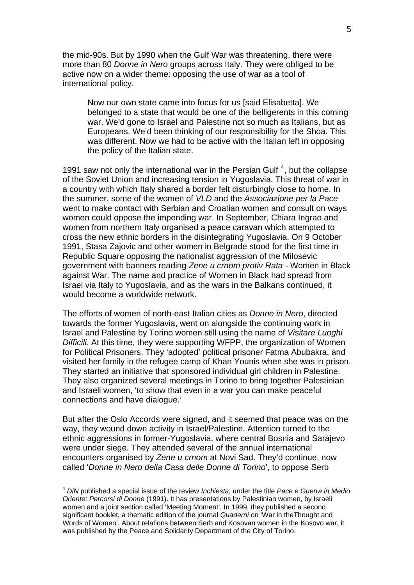the mid-90s. But by 1990 when the Gulf War was threatening, there were more than 80 *Donne in Nero* groups across Italy. They were obliged to be active now on a wider theme: opposing the use of war as a tool of international policy.

Now our own state came into focus for us [said Elisabetta]. We belonged to a state that would be one of the belligerents in this coming war. We'd gone to Israel and Palestine not so much as Italians, but as Europeans. We'd been thinking of our responsibility for the Shoa. This was different. Now we had to be active with the Italian left in opposing the policy of the Italian state.

1991 saw not only the international war in the Persian Gulf<sup>[4](#page-4-0)</sup>, but the collapse of the Soviet Union and increasing tension in Yugoslavia. This threat of war in a country with which Italy shared a border felt disturbingly close to home. In the summer, some of the women of *VLD* and the *Associazione per la Pace*  went to make contact with Serbian and Croatian women and consult on ways women could oppose the impending war. In September, Chiara Ingrao and women from northern Italy organised a peace caravan which attempted to cross the new ethnic borders in the disintegrating Yugoslavia. On 9 October 1991, Stasa Zajovic and other women in Belgrade stood for the first time in Republic Square opposing the nationalist aggression of the Milosevic government with banners reading *Zene u crnom protiv Rata -* Women in Black against War. The name and practice of Women in Black had spread from Israel via Italy to Yugoslavia, and as the wars in the Balkans continued, it would become a worldwide network.

The efforts of women of north-east Italian cities as *Donne in Nero*, directed towards the former Yugoslavia, went on alongside the continuing work in Israel and Palestine by Torino women still using the name of *Visitare Luoghi Difficili*. At this time, they were supporting WFPP, the organization of Women for Political Prisoners. They 'adopted' political prisoner Fatma Abubakra, and visited her family in the refugee camp of Khan Younis when she was in prison. They started an initiative that sponsored individual girl children in Palestine. They also organized several meetings in Torino to bring together Palestinian and Israeli women, 'to show that even in a war you can make peaceful connections and have dialogue.'

But after the Oslo Accords were signed, and it seemed that peace was on the way, they wound down activity in Israel/Palestine. Attention turned to the ethnic aggressions in former-Yugoslavia, where central Bosnia and Sarajevo were under siege. They attended several of the annual international encounters organised by *Zene u crnom* at Novi Sad. They'd continue, now called '*Donne in Nero della Casa delle Donne di Torino*', to oppose Serb

1

<span id="page-4-0"></span><sup>4</sup> *DiN* published a special issue of the review *Inchiesta*, under the title *Pace e Guerra in Medio Oriente: Percorsi di Donne* (1991). It has presentations by Palestinian women, by Israeli women and a joint section called 'Meeting Moment'. In 1999, they published a second significant booklet, a thematic edition of the journal *Quaderni* on 'War in theThought and Words of Women'. About relations between Serb and Kosovan women in the Kosovo war, it was published by the Peace and Solidarity Department of the City of Torino.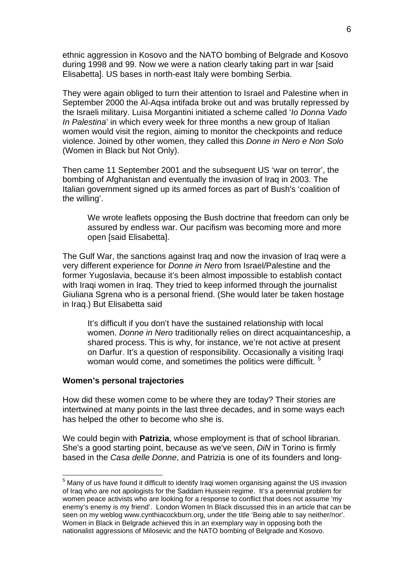ethnic aggression in Kosovo and the NATO bombing of Belgrade and Kosovo during 1998 and 99. Now we were a nation clearly taking part in war [said Elisabetta]. US bases in north-east Italy were bombing Serbia.

They were again obliged to turn their attention to Israel and Palestine when in September 2000 the Al-Aqsa intifada broke out and was brutally repressed by the Israeli military. Luisa Morgantini initiated a scheme called '*Io Donna Vado In Palestina*' in which every week for three months a new group of Italian women would visit the region, aiming to monitor the checkpoints and reduce violence. Joined by other women, they called this *Donne in Nero e Non Solo* (Women in Black but Not Only).

Then came 11 September 2001 and the subsequent US 'war on terror', the bombing of Afghanistan and eventually the invasion of Iraq in 2003. The Italian government signed up its armed forces as part of Bush's 'coalition of the willing'.

We wrote leaflets opposing the Bush doctrine that freedom can only be assured by endless war. Our pacifism was becoming more and more open [said Elisabetta].

The Gulf War, the sanctions against Iraq and now the invasion of Iraq were a very different experience for *Donne in Nero* from Israel/Palestine and the former Yugoslavia, because it's been almost impossible to establish contact with Iraqi women in Iraq. They tried to keep informed through the journalist Giuliana Sgrena who is a personal friend. (She would later be taken hostage in Iraq.) But Elisabetta said

It's difficult if you don't have the sustained relationship with local women. *Donne in Nero* traditionally relies on direct acquaintanceship, a shared process. This is why, for instance, we're not active at present on Darfur. It's a question of responsibility. Occasionally a visiting Iraqi woman would come, and sometimes the politics were difficult.<sup>[5](#page-5-0)</sup>

### **Women's personal trajectories**

1

How did these women come to be where they are today? Their stories are intertwined at many points in the last three decades, and in some ways each has helped the other to become who she is.

We could begin with **Patrizia**, whose employment is that of school librarian. She's a good starting point, because as we've seen, *DiN* in Torino is firmly based in the *Casa delle Donne*, and Patrizia is one of its founders and long-

<span id="page-5-0"></span><sup>&</sup>lt;sup>5</sup> Many of us have found it difficult to identify Iraqi women organising against the US invasion of Iraq who are not apologists for the Saddam Hussein regime. It's a perennial problem for women peace activists who are looking for a response to conflict that does not assume 'my enemy's enemy is my friend'. London Women In Black discussed this in an article that can be seen on my weblog www.cynthiacockburn.org, under the title 'Being able to say neither/nor'. Women in Black in Belgrade achieved this in an exemplary way in opposing both the nationalist aggressions of Milosevic and the NATO bombing of Belgrade and Kosovo.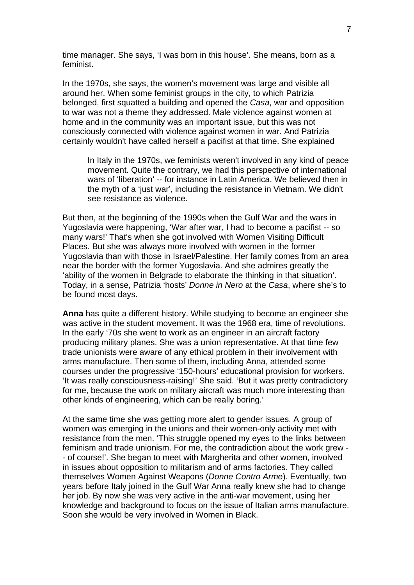time manager. She says, 'I was born in this house'. She means, born as a feminist.

In the 1970s, she says, the women's movement was large and visible all around her. When some feminist groups in the city, to which Patrizia belonged, first squatted a building and opened the *Casa*, war and opposition to war was not a theme they addressed. Male violence against women at home and in the community was an important issue, but this was not consciously connected with violence against women in war. And Patrizia certainly wouldn't have called herself a pacifist at that time. She explained

In Italy in the 1970s, we feminists weren't involved in any kind of peace movement. Quite the contrary, we had this perspective of international wars of 'liberation' -- for instance in Latin America. We believed then in the myth of a 'just war', including the resistance in Vietnam. We didn't see resistance as violence.

But then, at the beginning of the 1990s when the Gulf War and the wars in Yugoslavia were happening, 'War after war, I had to become a pacifist -- so many wars!' That's when she got involved with Women Visiting Difficult Places. But she was always more involved with women in the former Yugoslavia than with those in Israel/Palestine. Her family comes from an area near the border with the former Yugoslavia. And she admires greatly the 'ability of the women in Belgrade to elaborate the thinking in that situation'. Today, in a sense, Patrizia 'hosts' *Donne in Nero* at the *Casa*, where she's to be found most days.

**Anna** has quite a different history. While studying to become an engineer she was active in the student movement. It was the 1968 era, time of revolutions. In the early '70s she went to work as an engineer in an aircraft factory producing military planes. She was a union representative. At that time few trade unionists were aware of any ethical problem in their involvement with arms manufacture. Then some of them, including Anna, attended some courses under the progressive '150-hours' educational provision for workers. 'It was really consciousness-raising!' She said. 'But it was pretty contradictory for me, because the work on military aircraft was much more interesting than other kinds of engineering, which can be really boring.'

At the same time she was getting more alert to gender issues. A group of women was emerging in the unions and their women-only activity met with resistance from the men. 'This struggle opened my eyes to the links between feminism and trade unionism. For me, the contradiction about the work grew - - of course!'. She began to meet with Margherita and other women, involved in issues about opposition to militarism and of arms factories. They called themselves Women Against Weapons (*Donne Contro Arme*). Eventually, two years before Italy joined in the Gulf War Anna really knew she had to change her job. By now she was very active in the anti-war movement, using her knowledge and background to focus on the issue of Italian arms manufacture. Soon she would be very involved in Women in Black.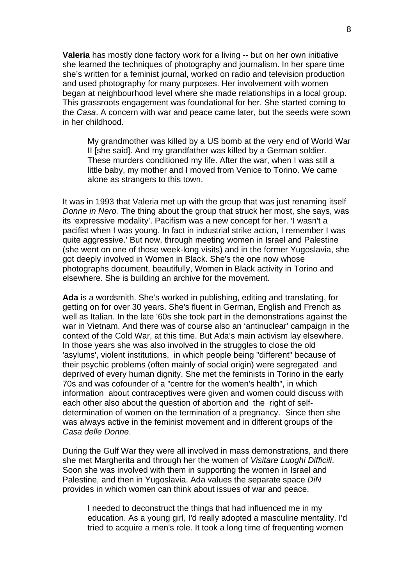**Valeria** has mostly done factory work for a living -- but on her own initiative she learned the techniques of photography and journalism. In her spare time she's written for a feminist journal, worked on radio and television production and used photography for many purposes. Her involvement with women began at neighbourhood level where she made relationships in a local group. This grassroots engagement was foundational for her. She started coming to the *Casa*. A concern with war and peace came later, but the seeds were sown in her childhood.

My grandmother was killed by a US bomb at the very end of World War II [she said]. And my grandfather was killed by a German soldier. These murders conditioned my life. After the war, when I was still a little baby, my mother and I moved from Venice to Torino. We came alone as strangers to this town.

It was in 1993 that Valeria met up with the group that was just renaming itself *Donne in Nero.* The thing about the group that struck her most, she says, was its 'expressive modality'. Pacifism was a new concept for her. 'I wasn't a pacifist when I was young. In fact in industrial strike action, I remember I was quite aggressive.' But now, through meeting women in Israel and Palestine (she went on one of those week-long visits) and in the former Yugoslavia, she got deeply involved in Women in Black. She's the one now whose photographs document, beautifully, Women in Black activity in Torino and elsewhere. She is building an archive for the movement.

**Ada** is a wordsmith. She's worked in publishing, editing and translating, for getting on for over 30 years. She's fluent in German, English and French as well as Italian. In the late '60s she took part in the demonstrations against the war in Vietnam. And there was of course also an 'antinuclear' campaign in the context of the Cold War, at this time. But Ada's main activism lay elsewhere. In those years she was also involved in the struggles to close the old 'asylums', violent institutions, in which people being "different" because of their psychic problems (often mainly of social origin) were segregated and deprived of every human dignity. She met the feminists in Torino in the early 70s and was cofounder of a "centre for the women's health", in which information about contraceptives were given and women could discuss with each other also about the question of abortion and the right of selfdetermination of women on the termination of a pregnancy. Since then she was always active in the feminist movement and in different groups of the *Casa delle Donne*.

During the Gulf War they were all involved in mass demonstrations, and there she met Margherita and through her the women of *Visitare Luoghi Difficili*. Soon she was involved with them in supporting the women in Israel and Palestine, and then in Yugoslavia. Ada values the separate space *DiN* provides in which women can think about issues of war and peace.

I needed to deconstruct the things that had influenced me in my education. As a young girl, I'd really adopted a masculine mentality. I'd tried to acquire a men's role. It took a long time of frequenting women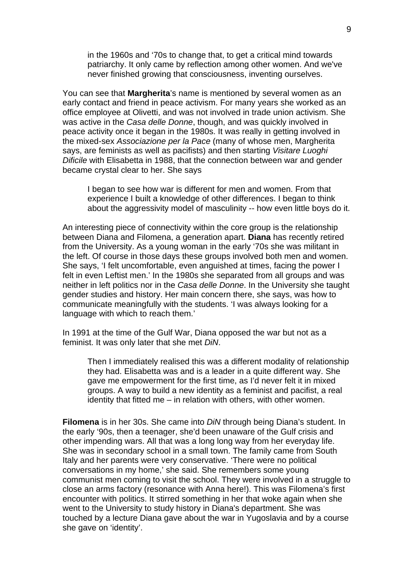in the 1960s and '70s to change that, to get a critical mind towards patriarchy. It only came by reflection among other women. And we've never finished growing that consciousness, inventing ourselves.

You can see that **Margherita**'s name is mentioned by several women as an early contact and friend in peace activism. For many years she worked as an office employee at Olivetti, and was not involved in trade union activism. She was active in the *Casa delle Donne*, though, and was quickly involved in peace activity once it began in the 1980s. It was really in getting involved in the mixed-sex *Associazione per la Pace* (many of whose men, Margherita says, are feminists as well as pacifists) and then starting *Visitare Luoghi Dificile* with Elisabetta in 1988, that the connection between war and gender became crystal clear to her. She says

I began to see how war is different for men and women. From that experience I built a knowledge of other differences. I began to think about the aggressivity model of masculinity -- how even little boys do it.

An interesting piece of connectivity within the core group is the relationship between Diana and Filomena, a generation apart. **Diana** has recently retired from the University. As a young woman in the early '70s she was militant in the left. Of course in those days these groups involved both men and women. She says, 'I felt uncomfortable, even anguished at times, facing the power I felt in even Leftist men.' In the 1980s she separated from all groups and was neither in left politics nor in the *Casa delle Donne*. In the University she taught gender studies and history. Her main concern there, she says, was how to communicate meaningfully with the students. 'I was always looking for a language with which to reach them.'

In 1991 at the time of the Gulf War, Diana opposed the war but not as a feminist. It was only later that she met *DiN*.

Then I immediately realised this was a different modality of relationship they had. Elisabetta was and is a leader in a quite different way. She gave me empowerment for the first time, as I'd never felt it in mixed groups. A way to build a new identity as a feminist and pacifist, a real identity that fitted me – in relation with others, with other women.

**Filomena** is in her 30s. She came into *DiN* through being Diana's student. In the early '90s, then a teenager, she'd been unaware of the Gulf crisis and other impending wars. All that was a long long way from her everyday life. She was in secondary school in a small town. The family came from South Italy and her parents were very conservative. 'There were no political conversations in my home,' she said. She remembers some young communist men coming to visit the school. They were involved in a struggle to close an arms factory (resonance with Anna here!). This was Filomena's first encounter with politics. It stirred something in her that woke again when she went to the University to study history in Diana's department. She was touched by a lecture Diana gave about the war in Yugoslavia and by a course she gave on 'identity'.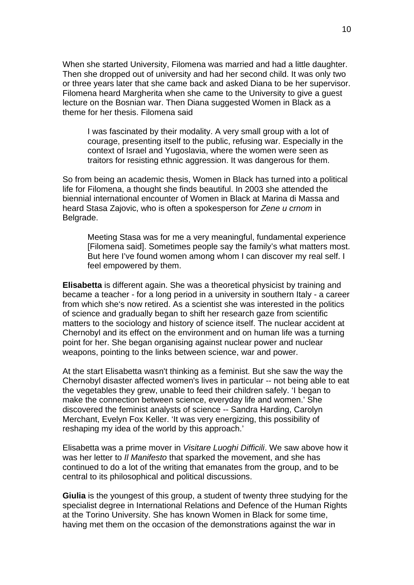When she started University, Filomena was married and had a little daughter. Then she dropped out of university and had her second child. It was only two or three years later that she came back and asked Diana to be her supervisor. Filomena heard Margherita when she came to the University to give a guest lecture on the Bosnian war. Then Diana suggested Women in Black as a theme for her thesis. Filomena said

I was fascinated by their modality. A very small group with a lot of courage, presenting itself to the public, refusing war. Especially in the context of Israel and Yugoslavia, where the women were seen as traitors for resisting ethnic aggression. It was dangerous for them.

So from being an academic thesis, Women in Black has turned into a political life for Filomena, a thought she finds beautiful. In 2003 she attended the biennial international encounter of Women in Black at Marina di Massa and heard Stasa Zajovic, who is often a spokesperson for *Zene u crnom* in Belgrade.

Meeting Stasa was for me a very meaningful, fundamental experience [Filomena said]. Sometimes people say the family's what matters most. But here I've found women among whom I can discover my real self. I feel empowered by them.

**Elisabetta** is different again. She was a theoretical physicist by training and became a teacher - for a long period in a university in southern Italy - a career from which she's now retired. As a scientist she was interested in the politics of science and gradually began to shift her research gaze from scientific matters to the sociology and history of science itself. The nuclear accident at Chernobyl and its effect on the environment and on human life was a turning point for her. She began organising against nuclear power and nuclear weapons, pointing to the links between science, war and power.

At the start Elisabetta wasn't thinking as a feminist. But she saw the way the Chernobyl disaster affected women's lives in particular -- not being able to eat the vegetables they grew, unable to feed their children safely. 'I began to make the connection between science, everyday life and women.' She discovered the feminist analysts of science -- Sandra Harding, Carolyn Merchant, Evelyn Fox Keller. 'It was very energizing, this possibility of reshaping my idea of the world by this approach.'

Elisabetta was a prime mover in *Visitare Luoghi Difficili*. We saw above how it was her letter to *Il Manifesto* that sparked the movement, and she has continued to do a lot of the writing that emanates from the group, and to be central to its philosophical and political discussions.

**Giulia** is the youngest of this group, a student of twenty three studying for the specialist degree in International Relations and Defence of the Human Rights at the Torino University. She has known Women in Black for some time, having met them on the occasion of the demonstrations against the war in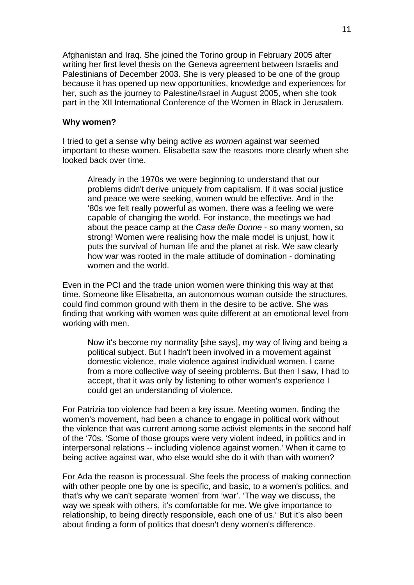Afghanistan and Iraq. She joined the Torino group in February 2005 after writing her first level thesis on the Geneva agreement between Israelis and Palestinians of December 2003. She is very pleased to be one of the group because it has opened up new opportunities, knowledge and experiences for her, such as the journey to Palestine/Israel in August 2005, when she took part in the XII International Conference of the Women in Black in Jerusalem.

#### **Why women?**

I tried to get a sense why being active *as women* against war seemed important to these women. Elisabetta saw the reasons more clearly when she looked back over time.

Already in the 1970s we were beginning to understand that our problems didn't derive uniquely from capitalism. If it was social justice and peace we were seeking, women would be effective. And in the '80s we felt really powerful as women, there was a feeling we were capable of changing the world. For instance, the meetings we had about the peace camp at the *Casa delle Donne* - so many women, so strong! Women were realising how the male model is unjust, how it puts the survival of human life and the planet at risk. We saw clearly how war was rooted in the male attitude of domination - dominating women and the world.

Even in the PCI and the trade union women were thinking this way at that time. Someone like Elisabetta, an autonomous woman outside the structures, could find common ground with them in the desire to be active. She was finding that working with women was quite different at an emotional level from working with men.

Now it's become my normality [she says], my way of living and being a political subject. But I hadn't been involved in a movement against domestic violence, male violence against individual women. I came from a more collective way of seeing problems. But then I saw, I had to accept, that it was only by listening to other women's experience I could get an understanding of violence.

For Patrizia too violence had been a key issue. Meeting women, finding the women's movement, had been a chance to engage in political work without the violence that was current among some activist elements in the second half of the '70s. 'Some of those groups were very violent indeed, in politics and in interpersonal relations -- including violence against women.' When it came to being active against war, who else would she do it with than with women?

For Ada the reason is processual. She feels the process of making connection with other people one by one is specific, and basic, to a women's politics, and that's why we can't separate 'women' from 'war'. 'The way we discuss, the way we speak with others, it's comfortable for me. We give importance to relationship, to being directly responsible, each one of us.' But it's also been about finding a form of politics that doesn't deny women's difference.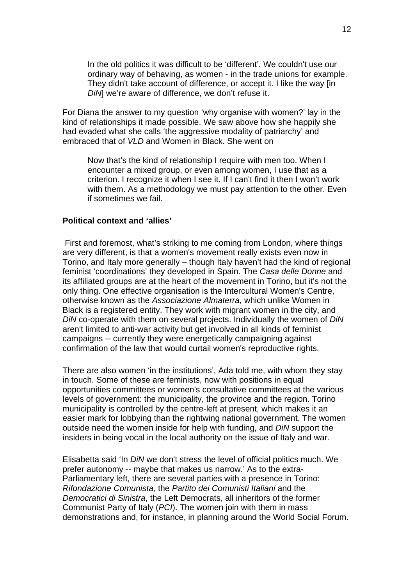In the old politics it was difficult to be 'different'. We couldn't use our ordinary way of behaving, as women - in the trade unions for example. They didn't take account of difference, or accept it. I like the way [in *DiN*] we're aware of difference, we don't refuse it.

For Diana the answer to my question 'why organise with women?' lay in the kind of relationships it made possible. We saw above how she happily she had evaded what she calls 'the aggressive modality of patriarchy' and embraced that of *VLD* and Women in Black. She went on

Now that's the kind of relationship I require with men too. When I encounter a mixed group, or even among women, I use that as a criterion. I recognize it when I see it. If I can't find it then I won't work with them. As a methodology we must pay attention to the other. Even if sometimes we fail.

#### **Political context and 'allies'**

 First and foremost, what's striking to me coming from London, where things are very different, is that a women's movement really exists even now in Torino, and Italy more generally – though Italy haven't had the kind of regional feminist 'coordinations' they developed in Spain. The *Casa delle Donne* and its affiliated groups are at the heart of the movement in Torino, but it's not the only thing. One effective organisation is the Intercultural Women's Centre, otherwise known as the *Associazione Almaterra,* which unlike Women in Black is a registered entity. They work with migrant women in the city, and *DiN* co-operate with them on several projects. Individually the women of *DiN* aren't limited to anti-war activity but get involved in all kinds of feminist campaigns -- currently they were energetically campaigning against confirmation of the law that would curtail women's reproductive rights.

There are also women 'in the institutions', Ada told me, with whom they stay in touch. Some of these are feminists, now with positions in equal opportunities committees or women's consultative committees at the various levels of government: the municipality, the province and the region. Torino municipality is controlled by the centre-left at present, which makes it an easier mark for lobbying than the rightwing national government. The women outside need the women inside for help with funding, and *DiN* support the insiders in being vocal in the local authority on the issue of Italy and war.

Elisabetta said 'In *DiN* we don't stress the level of official politics much. We prefer autonomy -- maybe that makes us narrow.' As to the extra-Parliamentary left, there are several parties with a presence in Torino: *Rifondazione Comunista,* the *Partito dei Comunisti Italiani* and the *Democratici di Sinistra*, the Left Democrats, all inheritors of the former Communist Party of Italy (*PCI*). The women join with them in mass demonstrations and, for instance, in planning around the World Social Forum.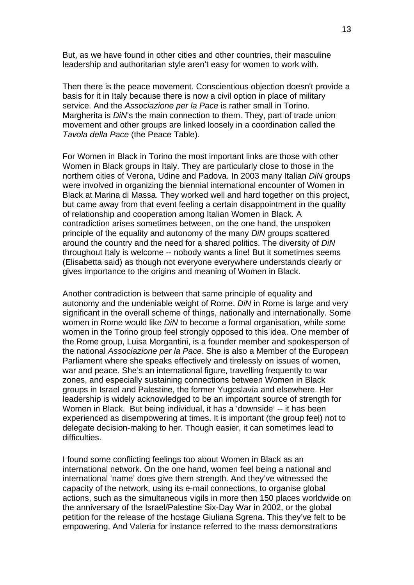But, as we have found in other cities and other countries, their masculine leadership and authoritarian style aren't easy for women to work with.

Then there is the peace movement. Conscientious objection doesn't provide a basis for it in Italy because there is now a civil option in place of military service. And the *Associazione per la Pace* is rather small in Torino. Margherita is *DiN*'s the main connection to them. They, part of trade union movement and other groups are linked loosely in a coordination called the *Tavola della Pace* (the Peace Table).

For Women in Black in Torino the most important links are those with other Women in Black groups in Italy. They are particularly close to those in the northern cities of Verona, Udine and Padova. In 2003 many Italian *DiN* groups were involved in organizing the biennial international encounter of Women in Black at Marina di Massa. They worked well and hard together on this project, but came away from that event feeling a certain disappointment in the quality of relationship and cooperation among Italian Women in Black. A contradiction arises sometimes between, on the one hand, the unspoken principle of the equality and autonomy of the many *DiN* groups scattered around the country and the need for a shared politics. The diversity of *DiN* throughout Italy is welcome -- nobody wants a line! But it sometimes seems (Elisabetta said) as though not everyone everywhere understands clearly or gives importance to the origins and meaning of Women in Black.

Another contradiction is between that same principle of equality and autonomy and the undeniable weight of Rome. *DiN* in Rome is large and very significant in the overall scheme of things, nationally and internationally. Some women in Rome would like *DiN* to become a formal organisation, while some women in the Torino group feel strongly opposed to this idea. One member of the Rome group, Luisa Morgantini, is a founder member and spokesperson of the national *Associazione per la Pace*. She is also a Member of the European Parliament where she speaks effectively and tirelessly on issues of women, war and peace. She's an international figure, travelling frequently to war zones, and especially sustaining connections between Women in Black groups in Israel and Palestine, the former Yugoslavia and elsewhere. Her leadership is widely acknowledged to be an important source of strength for Women in Black. But being individual, it has a 'downside' -- it has been experienced as disempowering at times. It is important (the group feel) not to delegate decision-making to her. Though easier, it can sometimes lead to difficulties.

I found some conflicting feelings too about Women in Black as an international network. On the one hand, women feel being a national and international 'name' does give them strength. And they've witnessed the capacity of the network, using its e-mail connections, to organise global actions, such as the simultaneous vigils in more then 150 places worldwide on the anniversary of the Israel/Palestine Six-Day War in 2002, or the global petition for the release of the hostage Giuliana Sgrena. This they've felt to be empowering. And Valeria for instance referred to the mass demonstrations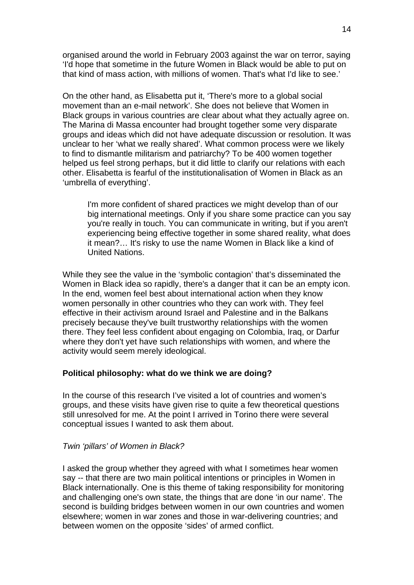organised around the world in February 2003 against the war on terror, saying 'I'd hope that sometime in the future Women in Black would be able to put on that kind of mass action, with millions of women. That's what I'd like to see.'

On the other hand, as Elisabetta put it, 'There's more to a global social movement than an e-mail network'. She does not believe that Women in Black groups in various countries are clear about what they actually agree on. The Marina di Massa encounter had brought together some very disparate groups and ideas which did not have adequate discussion or resolution. It was unclear to her 'what we really shared'. What common process were we likely to find to dismantle militarism and patriarchy? To be 400 women together helped us feel strong perhaps, but it did little to clarify our relations with each other. Elisabetta is fearful of the institutionalisation of Women in Black as an 'umbrella of everything'.

I'm more confident of shared practices we might develop than of our big international meetings. Only if you share some practice can you say you're really in touch. You can communicate in writing, but if you aren't experiencing being effective together in some shared reality, what does it mean?… It's risky to use the name Women in Black like a kind of United Nations.

While they see the value in the 'symbolic contagion' that's disseminated the Women in Black idea so rapidly, there's a danger that it can be an empty icon. In the end, women feel best about international action when they know women personally in other countries who they can work with. They feel effective in their activism around Israel and Palestine and in the Balkans precisely because they've built trustworthy relationships with the women there. They feel less confident about engaging on Colombia, Iraq, or Darfur where they don't yet have such relationships with women, and where the activity would seem merely ideological.

#### **Political philosophy: what do we think we are doing?**

In the course of this research I've visited a lot of countries and women's groups, and these visits have given rise to quite a few theoretical questions still unresolved for me. At the point I arrived in Torino there were several conceptual issues I wanted to ask them about.

#### *Twin 'pillars' of Women in Black?*

I asked the group whether they agreed with what I sometimes hear women say -- that there are two main political intentions or principles in Women in Black internationally. One is this theme of taking responsibility for monitoring and challenging one's own state, the things that are done 'in our name'. The second is building bridges between women in our own countries and women elsewhere; women in war zones and those in war-delivering countries; and between women on the opposite 'sides' of armed conflict.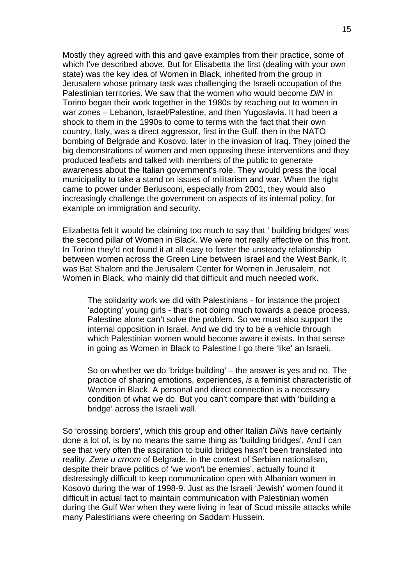Mostly they agreed with this and gave examples from their practice, some of which I've described above. But for Elisabetta the first (dealing with your own state) was the key idea of Women in Black, inherited from the group in Jerusalem whose primary task was challenging the Israeli occupation of the Palestinian territories. We saw that the women who would become *DiN* in Torino began their work together in the 1980s by reaching out to women in war zones – Lebanon, Israel/Palestine, and then Yugoslavia. It had been a shock to them in the 1990s to come to terms with the fact that their own country, Italy, was a direct aggressor, first in the Gulf, then in the NATO bombing of Belgrade and Kosovo, later in the invasion of Iraq. They joined the big demonstrations of women and men opposing these interventions and they produced leaflets and talked with members of the public to generate awareness about the Italian government's role. They would press the local municipality to take a stand on issues of militarism and war. When the right came to power under Berlusconi, especially from 2001, they would also increasingly challenge the government on aspects of its internal policy, for example on immigration and security.

Elizabetta felt it would be claiming too much to say that ' building bridges' was the second pillar of Women in Black. We were not really effective on this front. In Torino they'd not found it at all easy to foster the unsteady relationship between women across the Green Line between Israel and the West Bank. It was Bat Shalom and the Jerusalem Center for Women in Jerusalem, not Women in Black, who mainly did that difficult and much needed work.

The solidarity work we did with Palestinians - for instance the project 'adopting' young girls - that's not doing much towards a peace process. Palestine alone can't solve the problem. So we must also support the internal opposition in Israel. And we did try to be a vehicle through which Palestinian women would become aware it exists. In that sense in going as Women in Black to Palestine I go there 'like' an Israeli.

So on whether we do 'bridge building' – the answer is yes and no. The practice of sharing emotions, experiences, *is* a feminist characteristic of Women in Black. A personal and direct connection is a necessary condition of what we do. But you can't compare that with 'building a bridge' across the Israeli wall.

So 'crossing borders', which this group and other Italian *DiN*s have certainly done a lot of, is by no means the same thing as 'building bridges'. And I can see that very often the aspiration to build bridges hasn't been translated into reality. *Zene u crnom* of Belgrade, in the context of Serbian nationalism, despite their brave politics of 'we won't be enemies', actually found it distressingly difficult to keep communication open with Albanian women in Kosovo during the war of 1998-9. Just as the Israeli 'Jewish' women found it difficult in actual fact to maintain communication with Palestinian women during the Gulf War when they were living in fear of Scud missile attacks while many Palestinians were cheering on Saddam Hussein.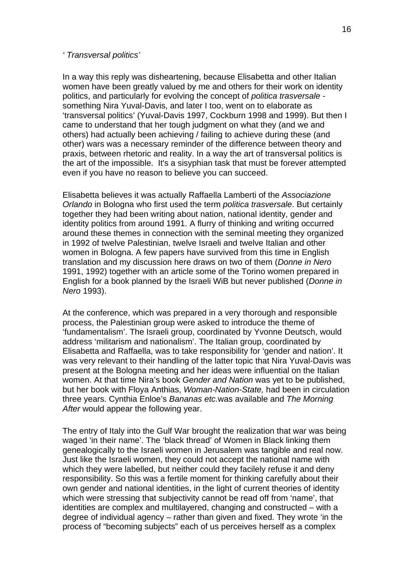#### *' Transversal politics'*

In a way this reply was disheartening, because Elisabetta and other Italian women have been greatly valued by me and others for their work on identity politics, and particularly for evolving the concept of *politica trasversale* something Nira Yuval-Davis, and later I too, went on to elaborate as 'transversal politics' (Yuval-Davis 1997, Cockburn 1998 and 1999). But then I came to understand that her tough judgment on what they (and we and others) had actually been achieving / failing to achieve during these (and other) wars was a necessary reminder of the difference between theory and praxis, between rhetoric and reality. In a way the art of transversal politics is the art of the impossible. It's a sisyphian task that must be forever attempted even if you have no reason to believe you can succeed.

Elisabetta believes it was actually Raffaella Lamberti of the *Associazione Orlando* in Bologna who first used the term *politica trasversale*. But certainly together they had been writing about nation, national identity, gender and identity politics from around 1991. A flurry of thinking and writing occurred around these themes in connection with the seminal meeting they organized in 1992 of twelve Palestinian, twelve Israeli and twelve Italian and other women in Bologna. A few papers have survived from this time in English translation and my discussion here draws on two of them (*Donne in Nero* 1991, 1992) together with an article some of the Torino women prepared in English for a book planned by the Israeli WiB but never published (*Donne in Nero* 1993).

At the conference, which was prepared in a very thorough and responsible process, the Palestinian group were asked to introduce the theme of 'fundamentalism'. The Israeli group, coordinated by Yvonne Deutsch, would address 'militarism and nationalism'. The Italian group, coordinated by Elisabetta and Raffaella, was to take responsibility for 'gender and nation'. It was very relevant to their handling of the latter topic that Nira Yuval-Davis was present at the Bologna meeting and her ideas were influential on the Italian women. At that time Nira's book *Gender and Nation* was yet to be published, but her book with Floya Anthias, *Woman-Nation-State,* had been in circulation three years. Cynthia Enloe's *Bananas etc.*was available and *The Morning After* would appear the following year.

The entry of Italy into the Gulf War brought the realization that war was being waged 'in their name'. The 'black thread' of Women in Black linking them genealogically to the Israeli women in Jerusalem was tangible and real now. Just like the Israeli women, they could not accept the national name with which they were labelled, but neither could they facilely refuse it and deny responsibility. So this was a fertile moment for thinking carefully about their own gender and national identities, in the light of current theories of identity which were stressing that subjectivity cannot be read off from 'name', that identities are complex and multilayered, changing and constructed – with a degree of individual agency – rather than given and fixed. They wrote 'in the process of "becoming subjects" each of us perceives herself as a complex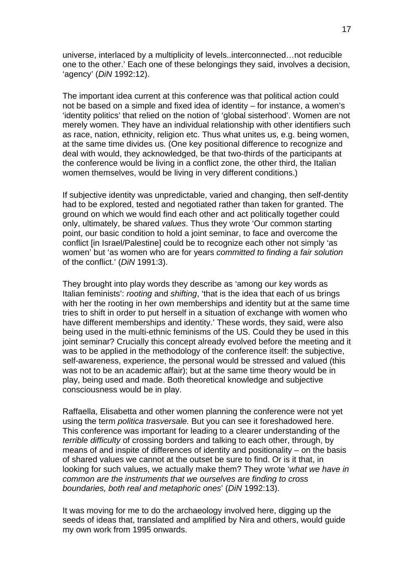universe, interlaced by a multiplicity of levels..interconnected…not reducible one to the other.' Each one of these belongings they said, involves a decision, 'agency' (*DiN* 1992:12).

The important idea current at this conference was that political action could not be based on a simple and fixed idea of identity – for instance, a women's 'identity politics' that relied on the notion of 'global sisterhood'. Women are not merely women. They have an individual relationship with other identifiers such as race, nation, ethnicity, religion etc. Thus what unites us, e.g. being women, at the same time divides us. (One key positional difference to recognize and deal with would, they acknowledged, be that two-thirds of the participants at the conference would be living in a conflict zone, the other third, the Italian women themselves, would be living in very different conditions.)

If subjective identity was unpredictable, varied and changing, then self-dentity had to be explored, tested and negotiated rather than taken for granted. The ground on which we would find each other and act politically together could only, ultimately, be shared *values*. Thus they wrote 'Our common starting point, our basic condition to hold a joint seminar, to face and overcome the conflict [in Israel/Palestine] could be to recognize each other not simply 'as women' but 'as women who are for years *committed to finding a fair solution* of the conflict.' (*DiN* 1991:3).

They brought into play words they describe as 'among our key words as Italian feminists': *rooting* and *shifting*, 'that is the idea that each of us brings with her the rooting in her own memberships and identity but at the same time tries to shift in order to put herself in a situation of exchange with women who have different memberships and identity.' These words, they said, were also being used in the multi-ethnic feminisms of the US. Could they be used in this joint seminar? Crucially this concept already evolved before the meeting and it was to be applied in the methodology of the conference itself: the subjective, self-awareness, experience, the personal would be stressed and valued (this was not to be an academic affair); but at the same time theory would be in play, being used and made. Both theoretical knowledge and subjective consciousness would be in play.

Raffaella, Elisabetta and other women planning the conference were not yet using the term *politica trasversale.* But you can see it foreshadowed here. This conference was important for leading to a clearer understanding of the *terrible difficulty* of crossing borders and talking to each other, through, by means of and inspite of differences of identity and positionality – on the basis of shared values we cannot at the outset be sure to find. Or is it that, in looking for such values, we actually make them? They wrote '*what we have in common are the instruments that we ourselves are finding to cross boundaries, both real and metaphoric ones*' (*DiN* 1992:13).

It was moving for me to do the archaeology involved here, digging up the seeds of ideas that, translated and amplified by Nira and others, would guide my own work from 1995 onwards.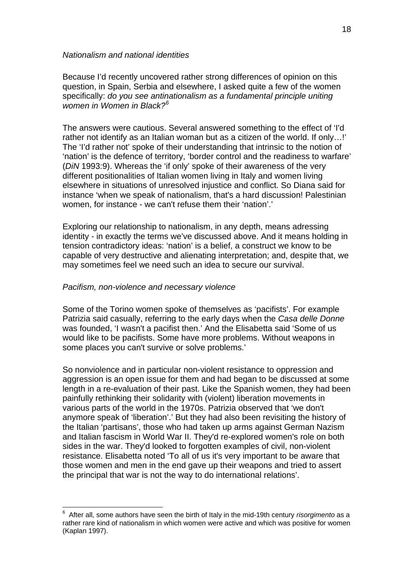Because I'd recently uncovered rather strong differences of opinion on this question, in Spain, Serbia and elsewhere, I asked quite a few of the women specifically: *do you see antinationalism as a fundamental principle uniting women in Women in Black?[6](#page-17-0)*

The answers were cautious. Several answered something to the effect of 'I'd rather not identify as an Italian woman but as a citizen of the world. If only…!' The 'I'd rather not' spoke of their understanding that intrinsic to the notion of 'nation' is the defence of territory, 'border control and the readiness to warfare' (*DiN* 1993:9). Whereas the 'if only' spoke of their awareness of the very different positionalities of Italian women living in Italy and women living elsewhere in situations of unresolved injustice and conflict. So Diana said for instance 'when we speak of nationalism, that's a hard discussion! Palestinian women, for instance - we can't refuse them their 'nation'.'

Exploring our relationship to nationalism, in any depth, means adressing identity - in exactly the terms we've discussed above. And it means holding in tension contradictory ideas: 'nation' is a belief, a construct we know to be capable of very destructive and alienating interpretation; and, despite that, we may sometimes feel we need such an idea to secure our survival.

#### *Pacifism, non-violence and necessary violence*

1

Some of the Torino women spoke of themselves as 'pacifists'. For example Patrizia said casually, referring to the early days when the *Casa delle Donne* was founded, 'I wasn't a pacifist then.' And the Elisabetta said 'Some of us would like to be pacifists. Some have more problems. Without weapons in some places you can't survive or solve problems.'

So nonviolence and in particular non-violent resistance to oppression and aggression is an open issue for them and had began to be discussed at some length in a re-evaluation of their past. Like the Spanish women, they had been painfully rethinking their solidarity with (violent) liberation movements in various parts of the world in the 1970s. Patrizia observed that 'we don't anymore speak of 'liberation'.' But they had also been revisiting the history of the Italian 'partisans', those who had taken up arms against German Nazism and Italian fascism in World War II. They'd re-explored women's role on both sides in the war. They'd looked to forgotten examples of civil, non-violent resistance. Elisabetta noted 'To all of us it's very important to be aware that those women and men in the end gave up their weapons and tried to assert the principal that war is not the way to do international relations'.

<span id="page-17-0"></span><sup>6</sup> After all, some authors have seen the birth of Italy in the mid-19th century *risorgimento* as a rather rare kind of nationalism in which women were active and which was positive for women (Kaplan 1997).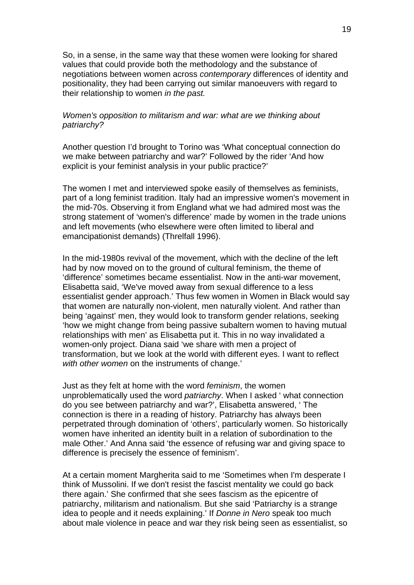So, in a sense, in the same way that these women were looking for shared values that could provide both the methodology and the substance of negotiations between women across *contemporary* differences of identity and positionality, they had been carrying out similar manoeuvers with regard to their relationship to women *in the past.*

#### *Women's opposition to militarism and war: what are we thinking about patriarchy?*

Another question I'd brought to Torino was 'What conceptual connection do we make between patriarchy and war?' Followed by the rider 'And how explicit is your feminist analysis in your public practice?'

The women I met and interviewed spoke easily of themselves as feminists, part of a long feminist tradition. Italy had an impressive women's movement in the mid-70s. Observing it from England what we had admired most was the strong statement of 'women's difference' made by women in the trade unions and left movements (who elsewhere were often limited to liberal and emancipationist demands) (Threlfall 1996).

In the mid-1980s revival of the movement, which with the decline of the left had by now moved on to the ground of cultural feminism, the theme of 'difference' sometimes became essentialist. Now in the anti-war movement, Elisabetta said, 'We've moved away from sexual difference to a less essentialist gender approach.' Thus few women in Women in Black would say that women are naturally non-violent, men naturally violent. And rather than being 'against' men, they would look to transform gender relations, seeking 'how we might change from being passive subaltern women to having mutual relationships with men' as Elisabetta put it. This in no way invalidated a women-only project. Diana said 'we share with men a project of transformation, but we look at the world with different eyes. I want to reflect *with other women* on the instruments of change.'

Just as they felt at home with the word *feminism*, the women unproblematically used the word *patriarchy*. When I asked ' what connection do you see between patriarchy and war?', Elisabetta answered, ' The connection is there in a reading of history. Patriarchy has always been perpetrated through domination of 'others', particularly women. So historically women have inherited an identity built in a relation of subordination to the male Other.' And Anna said 'the essence of refusing war and giving space to difference is precisely the essence of feminism'.

At a certain moment Margherita said to me 'Sometimes when I'm desperate I think of Mussolini. If we don't resist the fascist mentality we could go back there again.' She confirmed that she sees fascism as the epicentre of patriarchy, militarism and nationalism. But she said 'Patriarchy is a strange idea to people and it needs explaining.' If *Donne in Nero* speak too much about male violence in peace and war they risk being seen as essentialist, so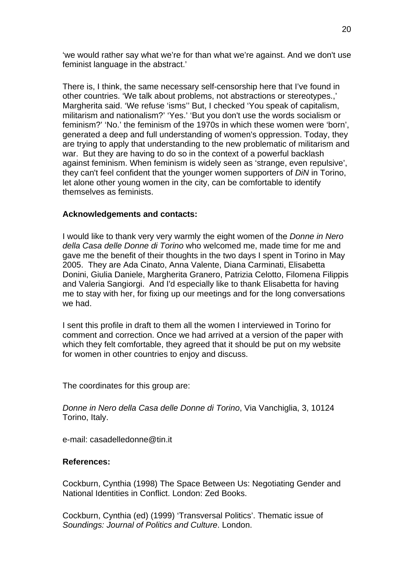'we would rather say what we're for than what we're against. And we don't use feminist language in the abstract.'

There is, I think, the same necessary self-censorship here that I've found in other countries. 'We talk about problems, not abstractions or stereotypes.,' Margherita said. 'We refuse 'isms'' But, I checked 'You speak of capitalism, militarism and nationalism?' 'Yes.' 'But you don't use the words socialism or feminism?' 'No.' the feminism of the 1970s in which these women were 'born', generated a deep and full understanding of women's oppression. Today, they are trying to apply that understanding to the new problematic of militarism and war. But they are having to do so in the context of a powerful backlash against feminism. When feminism is widely seen as 'strange, even repulsive', they can't feel confident that the younger women supporters of *DiN* in Torino, let alone other young women in the city, can be comfortable to identify themselves as feminists.

#### **Acknowledgements and contacts:**

I would like to thank very very warmly the eight women of the *Donne in Nero della Casa delle Donne di Torino* who welcomed me, made time for me and gave me the benefit of their thoughts in the two days I spent in Torino in May 2005. They are Ada Cinato, Anna Valente, Diana Carminati, Elisabetta Donini, Giulia Daniele, Margherita Granero, Patrizia Celotto, Filomena Filippis and Valeria Sangiorgi. And I'd especially like to thank Elisabetta for having me to stay with her, for fixing up our meetings and for the long conversations we had.

I sent this profile in draft to them all the women I interviewed in Torino for comment and correction. Once we had arrived at a version of the paper with which they felt comfortable, they agreed that it should be put on my website for women in other countries to enjoy and discuss.

The coordinates for this group are:

*Donne in Nero della Casa delle Donne di Torino*, Via Vanchiglia, 3, 10124 Torino, Italy.

e-mail: casadelledonne@tin.it

#### **References:**

Cockburn, Cynthia (1998) The Space Between Us: Negotiating Gender and National Identities in Conflict. London: Zed Books.

Cockburn, Cynthia (ed) (1999) 'Transversal Politics'. Thematic issue of *Soundings: Journal of Politics and Culture*. London.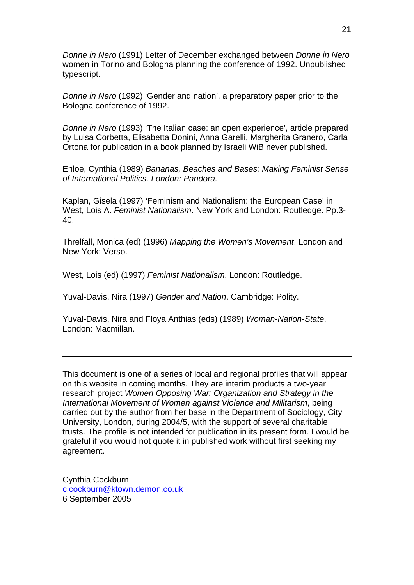*Donne in Nero* (1991) Letter of December exchanged between *Donne in Nero* women in Torino and Bologna planning the conference of 1992. Unpublished typescript.

*Donne in Nero* (1992) 'Gender and nation', a preparatory paper prior to the Bologna conference of 1992.

*Donne in Nero* (1993) 'The Italian case: an open experience', article prepared by Luisa Corbetta, Elisabetta Donini, Anna Garelli, Margherita Granero, Carla Ortona for publication in a book planned by Israeli WiB never published.

Enloe, Cynthia (1989) *Bananas, Beaches and Bases: Making Feminist Sense of International Politics. London: Pandora.* 

Kaplan, Gisela (1997) 'Feminism and Nationalism: the European Case' in West, Lois A. *Feminist Nationalism*. New York and London: Routledge. Pp.3- 40.

Threlfall, Monica (ed) (1996) *Mapping the Women's Movement*. London and New York: Verso.

West, Lois (ed) (1997) *Feminist Nationalism*. London: Routledge.

Yuval-Davis, Nira (1997) *Gender and Nation*. Cambridge: Polity.

Yuval-Davis, Nira and Floya Anthias (eds) (1989) *Woman-Nation-State*. London: Macmillan.

This document is one of a series of local and regional profiles that will appear on this website in coming months. They are interim products a two-year research project *Women Opposing War: Organization and Strategy in the International Movement of Women against Violence and Militarism*, being carried out by the author from her base in the Department of Sociology, City University, London, during 2004/5, with the support of several charitable trusts. The profile is not intended for publication in its present form. I would be grateful if you would not quote it in published work without first seeking my agreement.

Cynthia Cockburn [c.cockburn@ktown.demon.co.uk](mailto:c.cockburn@ktown.demon.co.uk) 6 September 2005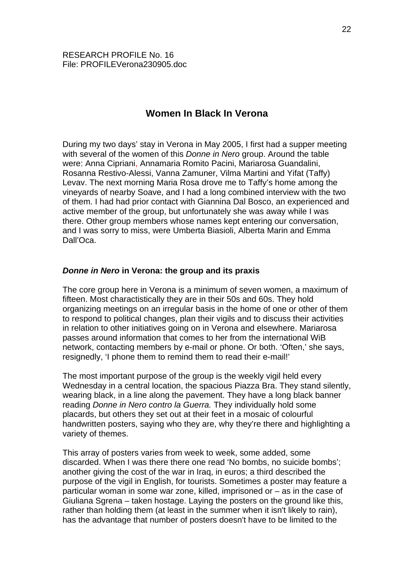# **Women In Black In Verona**

During my two days' stay in Verona in May 2005, I first had a supper meeting with several of the women of this *Donne in Nero* group. Around the table were: Anna Cipriani, Annamaria Romito Pacini, Mariarosa Guandalini, Rosanna Restivo-Alessi, Vanna Zamuner, Vilma Martini and Yifat (Taffy) Levav. The next morning Maria Rosa drove me to Taffy's home among the vineyards of nearby Soave, and I had a long combined interview with the two of them. I had had prior contact with Giannina Dal Bosco, an experienced and active member of the group, but unfortunately she was away while I was there. Other group members whose names kept entering our conversation, and I was sorry to miss, were Umberta Biasioli, Alberta Marin and Emma Dall'Oca.

#### *Donne in Nero* **in Verona: the group and its praxis**

The core group here in Verona is a minimum of seven women, a maximum of fifteen. Most charactistically they are in their 50s and 60s. They hold organizing meetings on an irregular basis in the home of one or other of them to respond to political changes, plan their vigils and to discuss their activities in relation to other initiatives going on in Verona and elsewhere. Mariarosa passes around information that comes to her from the international WiB network, contacting members by e-mail or phone. Or both. 'Often,' she says, resignedly, 'I phone them to remind them to read their e-mail!'

The most important purpose of the group is the weekly vigil held every Wednesday in a central location, the spacious Piazza Bra. They stand silently, wearing black, in a line along the pavement. They have a long black banner reading *Donne in Nero contro la Guerra.* They individually hold some placards, but others they set out at their feet in a mosaic of colourful handwritten posters, saying who they are, why they're there and highlighting a variety of themes.

This array of posters varies from week to week, some added, some discarded. When I was there there one read 'No bombs, no suicide bombs'; another giving the cost of the war in Iraq, in euros; a third described the purpose of the vigil in English, for tourists. Sometimes a poster may feature a particular woman in some war zone, killed, imprisoned or – as in the case of Giuliana Sgrena – taken hostage. Laying the posters on the ground like this, rather than holding them (at least in the summer when it isn't likely to rain), has the advantage that number of posters doesn't have to be limited to the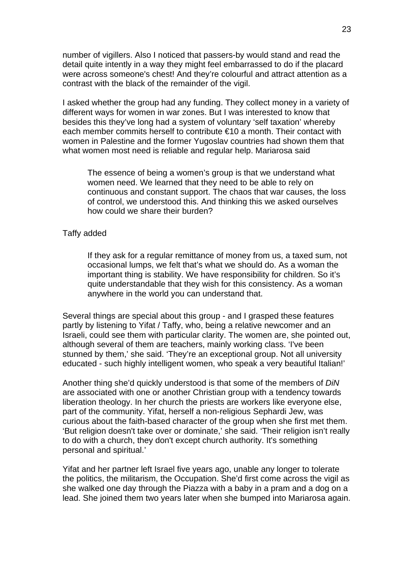number of vigillers. Also I noticed that passers-by would stand and read the detail quite intently in a way they might feel embarrassed to do if the placard were across someone's chest! And they're colourful and attract attention as a contrast with the black of the remainder of the vigil.

I asked whether the group had any funding. They collect money in a variety of different ways for women in war zones. But I was interested to know that besides this they've long had a system of voluntary 'self taxation' whereby each member commits herself to contribute €10 a month. Their contact with women in Palestine and the former Yugoslav countries had shown them that what women most need is reliable and regular help. Mariarosa said

The essence of being a women's group is that we understand what women need. We learned that they need to be able to rely on continuous and constant support. The chaos that war causes, the loss of control, we understood this. And thinking this we asked ourselves how could we share their burden?

### Taffy added

If they ask for a regular remittance of money from us, a taxed sum, not occasional lumps, we felt that's what we should do. As a woman the important thing is stability. We have responsibility for children. So it's quite understandable that they wish for this consistency. As a woman anywhere in the world you can understand that.

Several things are special about this group - and I grasped these features partly by listening to Yifat / Taffy, who, being a relative newcomer and an Israeli, could see them with particular clarity. The women are, she pointed out, although several of them are teachers, mainly working class. 'I've been stunned by them,' she said. 'They're an exceptional group. Not all university educated - such highly intelligent women, who speak a very beautiful Italian!'

Another thing she'd quickly understood is that some of the members of *DiN*  are associated with one or another Christian group with a tendency towards liberation theology. In her church the priests are workers like everyone else, part of the community. Yifat, herself a non-religious Sephardi Jew, was curious about the faith-based character of the group when she first met them. 'But religion doesn't take over or dominate,' she said. 'Their religion isn't really to do with a church, they don't except church authority. It's something personal and spiritual.'

Yifat and her partner left Israel five years ago, unable any longer to tolerate the politics, the militarism, the Occupation. She'd first come across the vigil as she walked one day through the Piazza with a baby in a pram and a dog on a lead. She joined them two years later when she bumped into Mariarosa again.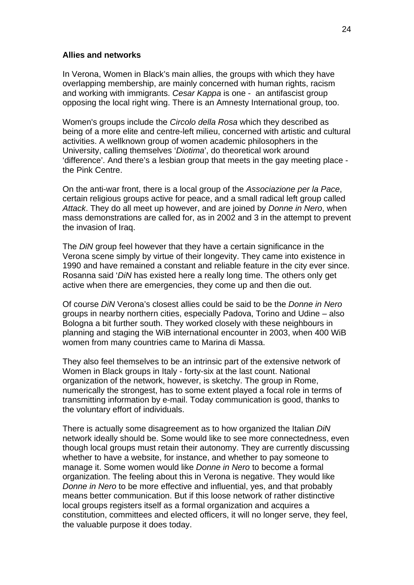#### **Allies and networks**

In Verona, Women in Black's main allies, the groups with which they have overlapping membership, are mainly concerned with human rights, racism and working with immigrants. *Cesar Kappa* is one - an antifascist group opposing the local right wing. There is an Amnesty International group, too.

Women's groups include the *Circolo della Rosa* which they described as being of a more elite and centre-left milieu, concerned with artistic and cultural activities. A wellknown group of women academic philosophers in the University, calling themselves '*Diotima*', do theoretical work around 'difference'. And there's a lesbian group that meets in the gay meeting place the Pink Centre.

On the anti-war front, there is a local group of the *Associazione per la Pace*, certain religious groups active for peace, and a small radical left group called *Attack*. They do all meet up however, and are joined by *Donne in Nero*, when mass demonstrations are called for, as in 2002 and 3 in the attempt to prevent the invasion of Iraq.

The *DiN* group feel however that they have a certain significance in the Verona scene simply by virtue of their longevity. They came into existence in 1990 and have remained a constant and reliable feature in the city ever since. Rosanna said '*DiN* has existed here a really long time. The others only get active when there are emergencies, they come up and then die out.

Of course *DiN* Verona's closest allies could be said to be the *Donne in Nero* groups in nearby northern cities, especially Padova, Torino and Udine – also Bologna a bit further south. They worked closely with these neighbours in planning and staging the WiB international encounter in 2003, when 400 WiB women from many countries came to Marina di Massa.

They also feel themselves to be an intrinsic part of the extensive network of Women in Black groups in Italy - forty-six at the last count. National organization of the network, however, is sketchy. The group in Rome, numerically the strongest, has to some extent played a focal role in terms of transmitting information by e-mail. Today communication is good, thanks to the voluntary effort of individuals.

There is actually some disagreement as to how organized the Italian *DiN*  network ideally should be. Some would like to see more connectedness, even though local groups must retain their autonomy. They are currently discussing whether to have a website, for instance, and whether to pay someone to manage it. Some women would like *Donne in Nero* to become a formal organization. The feeling about this in Verona is negative. They would like *Donne in Nero* to be more effective and influential, yes, and that probably means better communication. But if this loose network of rather distinctive local groups registers itself as a formal organization and acquires a constitution, committees and elected officers, it will no longer serve, they feel, the valuable purpose it does today.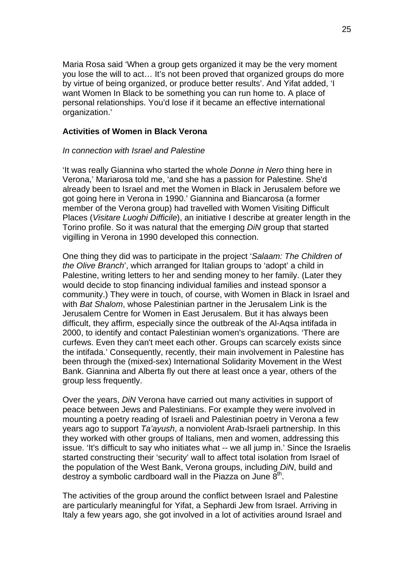Maria Rosa said 'When a group gets organized it may be the very moment you lose the will to act… It's not been proved that organized groups do more by virtue of being organized, or produce better results'. And Yifat added, 'I want Women In Black to be something you can run home to. A place of personal relationships. You'd lose if it became an effective international organization.'

# **Activities of Women in Black Verona**

# *In connection with Israel and Palestine*

'It was really Giannina who started the whole *Donne in Nero* thing here in Verona,' Mariarosa told me, 'and she has a passion for Palestine. She'd already been to Israel and met the Women in Black in Jerusalem before we got going here in Verona in 1990.' Giannina and Biancarosa (a former member of the Verona group) had travelled with Women Visiting Difficult Places (*Visitare Luoghi Difficile*), an initiative I describe at greater length in the Torino profile. So it was natural that the emerging *DiN* group that started vigilling in Verona in 1990 developed this connection.

One thing they did was to participate in the project '*Salaam: The Children of the Olive Branch*', which arranged for Italian groups to 'adopt' a child in Palestine, writing letters to her and sending money to her family. (Later they would decide to stop financing individual families and instead sponsor a community.) They were in touch, of course, with Women in Black in Israel and with *Bat Shalom*, whose Palestinian partner in the Jerusalem Link is the Jerusalem Centre for Women in East Jerusalem. But it has always been difficult, they affirm, especially since the outbreak of the Al-Aqsa intifada in 2000, to identify and contact Palestinian women's organizations. 'There are curfews. Even they can't meet each other. Groups can scarcely exists since the intifada.' Consequently, recently, their main involvement in Palestine has been through the (mixed-sex) International Solidarity Movement in the West Bank. Giannina and Alberta fly out there at least once a year, others of the group less frequently.

Over the years, *DiN* Verona have carried out many activities in support of peace between Jews and Palestinians. For example they were involved in mounting a poetry reading of Israeli and Palestinian poetry in Verona a few years ago to support *Ta'ayush*, a nonviolent Arab-Israeli partnership. In this they worked with other groups of Italians, men and women, addressing this issue. 'It's difficult to say who initiates what -- we all jump in.' Since the Israelis started constructing their 'security' wall to affect total isolation from Israel of the population of the West Bank, Verona groups, including *DiN*, build and destroy a symbolic cardboard wall in the Piazza on June  $8<sup>th</sup>$ .

The activities of the group around the conflict between Israel and Palestine are particularly meaningful for Yifat, a Sephardi Jew from Israel. Arriving in Italy a few years ago, she got involved in a lot of activities around Israel and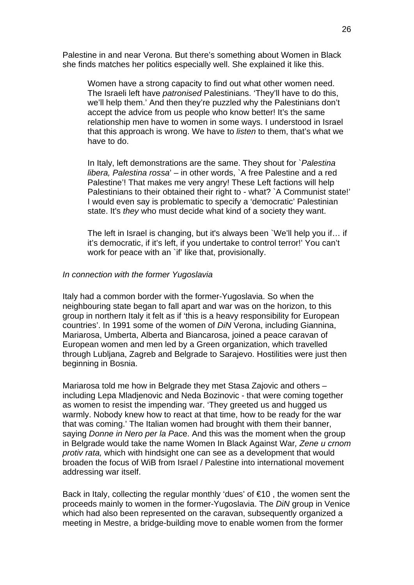Palestine in and near Verona. But there's something about Women in Black she finds matches her politics especially well. She explained it like this.

Women have a strong capacity to find out what other women need. The Israeli left have *patronised* Palestinians. 'They'll have to do this, we'll help them.' And then they're puzzled why the Palestinians don't accept the advice from us people who know better! It's the same relationship men have to women in some ways. I understood in Israel that this approach is wrong. We have to *listen* to them, that's what we have to do.

In Italy, left demonstrations are the same. They shout for `*Palestina libera, Palestina rossa*' – in other words, `A free Palestine and a red Palestine'! That makes me very angry! These Left factions will help Palestinians to their obtained their right to - what? `A Communist state!' I would even say is problematic to specify a 'democratic' Palestinian state. It's *they* who must decide what kind of a society they want.

The left in Israel is changing, but it's always been `We'll help you if… if it's democratic, if it's left, if you undertake to control terror!' You can't work for peace with an `if' like that, provisionally.

#### *In connection with the former Yugoslavia*

Italy had a common border with the former-Yugoslavia. So when the neighbouring state began to fall apart and war was on the horizon, to this group in northern Italy it felt as if 'this is a heavy responsibility for European countries'. In 1991 some of the women of *DiN* Verona, including Giannina, Mariarosa, Umberta, Alberta and Biancarosa, joined a peace caravan of European women and men led by a Green organization, which travelled through Lubljana, Zagreb and Belgrade to Sarajevo. Hostilities were just then beginning in Bosnia.

Mariarosa told me how in Belgrade they met Stasa Zajovic and others – including Lepa Mladjenovic and Neda Bozinovic - that were coming together as women to resist the impending war. 'They greeted us and hugged us warmly. Nobody knew how to react at that time, how to be ready for the war that was coming.' The Italian women had brought with them their banner, saying *Donne in Nero per la Pac*e. And this was the moment when the group in Belgrade would take the name Women In Black Against War*, Zene u crnom protiv rata,* which with hindsight one can see as a development that would broaden the focus of WiB from Israel / Palestine into international movement addressing war itself.

Back in Italy, collecting the regular monthly 'dues' of  $\epsilon$ 10, the women sent the proceeds mainly to women in the former-Yugoslavia. The *DiN* group in Venice which had also been represented on the caravan, subsequently organized a meeting in Mestre, a bridge-building move to enable women from the former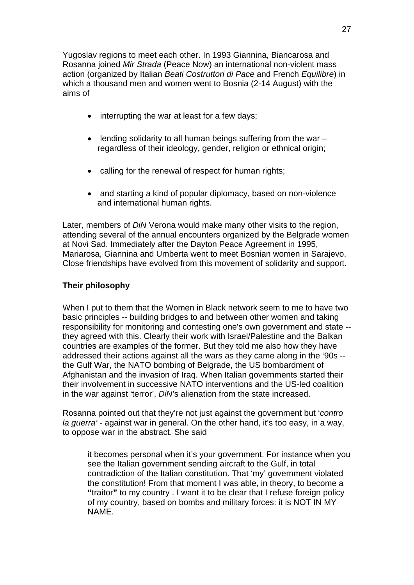Yugoslav regions to meet each other. In 1993 Giannina, Biancarosa and Rosanna joined *Mir Strada* (Peace Now) an international non-violent mass action (organized by Italian *Beati Costruttori di Pace* and French *Equilibre*) in which a thousand men and women went to Bosnia (2-14 August) with the aims of

- interrupting the war at least for a few days;
- lending solidarity to all human beings suffering from the war regardless of their ideology, gender, religion or ethnical origin;
- calling for the renewal of respect for human rights;
- and starting a kind of popular diplomacy, based on non-violence and international human rights.

Later, members of *DiN* Verona would make many other visits to the region, attending several of the annual encounters organized by the Belgrade women at Novi Sad. Immediately after the Dayton Peace Agreement in 1995, Mariarosa, Giannina and Umberta went to meet Bosnian women in Sarajevo. Close friendships have evolved from this movement of solidarity and support.

# **Their philosophy**

When I put to them that the Women in Black network seem to me to have two basic principles -- building bridges to and between other women and taking responsibility for monitoring and contesting one's own government and state - they agreed with this. Clearly their work with Israel/Palestine and the Balkan countries are examples of the former. But they told me also how they have addressed their actions against all the wars as they came along in the '90s - the Gulf War, the NATO bombing of Belgrade, the US bombardment of Afghanistan and the invasion of Iraq. When Italian governments started their their involvement in successive NATO interventions and the US-led coalition in the war against 'terror', *DiN*'s alienation from the state increased.

Rosanna pointed out that they're not just against the government but '*contro la guerra' -* against war in general. On the other hand, it's too easy, in a way, to oppose war in the abstract. She said

it becomes personal when it's your government. For instance when you see the Italian government sending aircraft to the Gulf, in total contradiction of the Italian constitution. That 'my' government violated the constitution! From that moment I was able, in theory, to become a **"**traitor**"** to my country . I want it to be clear that I refuse foreign policy of my country, based on bombs and military forces: it is NOT IN MY NAME.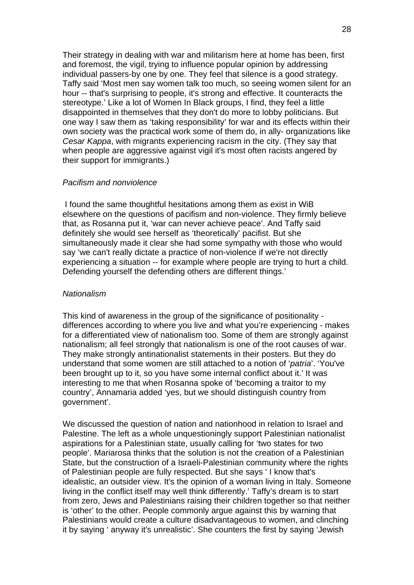Their strategy in dealing with war and militarism here at home has been, first and foremost, the vigil, trying to influence popular opinion by addressing individual passers-by one by one. They feel that silence is a good strategy. Taffy said 'Most men say women talk too much, so seeing women silent for an hour -- that's surprising to people, it's strong and effective. It counteracts the stereotype.' Like a lot of Women In Black groups, I find, they feel a little disappointed in themselves that they don't do more to lobby politicians. But one way I saw them as 'taking responsibility' for war and its effects within their own society was the practical work some of them do, in ally- organizations like *Cesar Kappa*, with migrants experiencing racism in the city. (They say that when people are aggressive against vigil it's most often racists angered by their support for immigrants.)

#### *Pacifism and nonviolence*

 I found the same thoughtful hesitations among them as exist in WiB elsewhere on the questions of pacifism and non-violence. They firmly believe that, as Rosanna put it, 'war can never achieve peace'. And Taffy said definitely she would see herself as 'theoretically' pacifist. But she simultaneously made it clear she had some sympathy with those who would say 'we can't really dictate a practice of non-violence if we're not directly experiencing a situation -- for example where people are trying to hurt a child. Defending yourself the defending others are different things.'

#### *Nationalism*

This kind of awareness in the group of the significance of positionality differences according to where you live and what you're experiencing - makes for a differentiated view of nationalism too. Some of them are strongly against nationalism; all feel strongly that nationalism is one of the root causes of war. They make strongly antinationalist statements in their posters. But they do understand that some women are still attached to a notion of '*patria*'. 'You've been brought up to it, so you have some internal conflict about it.' It was interesting to me that when Rosanna spoke of 'becoming a traitor to my country', Annamaria added 'yes, but we should distinguish country from government'.

We discussed the question of nation and nationhood in relation to Israel and Palestine. The left as a whole unquestioningly support Palestinian nationalist aspirations for a Palestinian state, usually calling for 'two states for two people'. Mariarosa thinks that the solution is not the creation of a Palestinian State, but the construction of a Israeli-Palestinian community where the rights of Palestinian people are fully respected. But she says ' I know that's idealistic, an outsider view. It's the opinion of a woman living in Italy. Someone living in the conflict itself may well think differently.' Taffy's dream is to start from zero, Jews and Palestinians raising their children together so that neither is 'other' to the other. People commonly argue against this by warning that Palestinians would create a culture disadvantageous to women, and clinching it by saying ' anyway it's unrealistic'. She counters the first by saying 'Jewish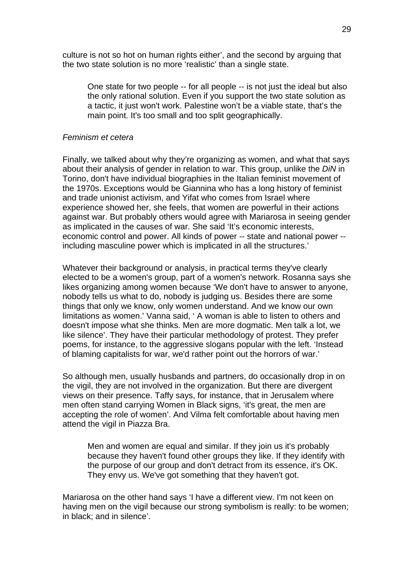culture is not so hot on human rights either', and the second by arguing that the two state solution is no more 'realistic' than a single state.

One state for two people -- for all people -- is not just the ideal but also the only rational solution. Even if you support the two state solution as a tactic, it just won't work. Palestine won't be a viable state, that's the main point. It's too small and too split geographically.

#### *Feminism et cetera*

Finally, we talked about why they're organizing as women, and what that says about their analysis of gender in relation to war. This group, unlike the *DiN* in Torino, don't have individual biographies in the Italian feminist movement of the 1970s. Exceptions would be Giannina who has a long history of feminist and trade unionist activism, and Yifat who comes from Israel where experience showed her, she feels, that women are powerful in their actions against war. But probably others would agree with Mariarosa in seeing gender as implicated in the causes of war. She said 'It's economic interests, economic control and power. All kinds of power -- state and national power - including masculine power which is implicated in all the structures.'

Whatever their background or analysis, in practical terms they've clearly elected to be a women's group, part of a women's network. Rosanna says she likes organizing among women because 'We don't have to answer to anyone, nobody tells us what to do, nobody is judging us. Besides there are some things that only we know, only women understand. And we know our own limitations as women.' Vanna said, ' A woman is able to listen to others and doesn't impose what she thinks. Men are more dogmatic. Men talk a lot, we like silence'. They have their particular methodology of protest. They prefer poems, for instance, to the aggressive slogans popular with the left. 'Instead of blaming capitalists for war, we'd rather point out the horrors of war.'

So although men, usually husbands and partners, do occasionally drop in on the vigil, they are not involved in the organization. But there are divergent views on their presence. Taffy says, for instance, that in Jerusalem where men often stand carrying Women in Black signs, 'it's great, the men are accepting the role of women'. And Vilma felt comfortable about having men attend the vigil in Piazza Bra.

Men and women are equal and similar. If they join us it's probably because they haven't found other groups they like. If they identify with the purpose of our group and don't detract from its essence, it's OK. They envy us. We've got something that they haven't got.

Mariarosa on the other hand says 'I have a different view. I'm not keen on having men on the vigil because our strong symbolism is really: to be women; in black; and in silence'.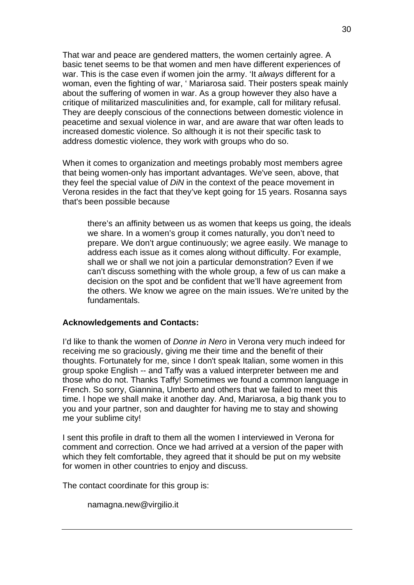That war and peace are gendered matters, the women certainly agree. A basic tenet seems to be that women and men have different experiences of war. This is the case even if women join the army. 'It *always* different for a woman, even the fighting of war, ' Mariarosa said. Their posters speak mainly about the suffering of women in war. As a group however they also have a critique of militarized masculinities and, for example, call for military refusal. They are deeply conscious of the connections between domestic violence in peacetime and sexual violence in war, and are aware that war often leads to increased domestic violence. So although it is not their specific task to address domestic violence, they work with groups who do so.

When it comes to organization and meetings probably most members agree that being women-only has important advantages. We've seen, above, that they feel the special value of *DiN* in the context of the peace movement in Verona resides in the fact that they've kept going for 15 years. Rosanna says that's been possible because

there's an affinity between us as women that keeps us going, the ideals we share. In a women's group it comes naturally, you don't need to prepare. We don't argue continuously; we agree easily. We manage to address each issue as it comes along without difficulty. For example, shall we or shall we not join a particular demonstration? Even if we can't discuss something with the whole group, a few of us can make a decision on the spot and be confident that we'll have agreement from the others. We know we agree on the main issues. We're united by the fundamentals.

#### **Acknowledgements and Contacts:**

I'd like to thank the women of *Donne in Nero* in Verona very much indeed for receiving me so graciously, giving me their time and the benefit of their thoughts. Fortunately for me, since I don't speak Italian, some women in this group spoke English -- and Taffy was a valued interpreter between me and those who do not. Thanks Taffy! Sometimes we found a common language in French. So sorry, Giannina, Umberto and others that we failed to meet this time. I hope we shall make it another day. And, Mariarosa, a big thank you to you and your partner, son and daughter for having me to stay and showing me your sublime city!

I sent this profile in draft to them all the women I interviewed in Verona for comment and correction. Once we had arrived at a version of the paper with which they felt comfortable, they agreed that it should be put on my website for women in other countries to enjoy and discuss.

The contact coordinate for this group is:

namagna.new@virgilio.it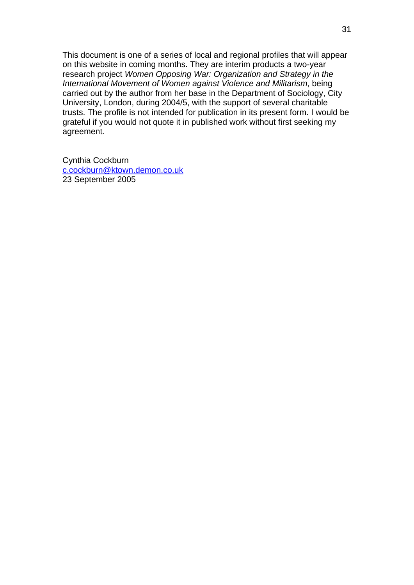This document is one of a series of local and regional profiles that will appear on this website in coming months. They are interim products a two-year research project *Women Opposing War: Organization and Strategy in the International Movement of Women against Violence and Militarism*, being carried out by the author from her base in the Department of Sociology, City University, London, during 2004/5, with the support of several charitable trusts. The profile is not intended for publication in its present form. I would be grateful if you would not quote it in published work without first seeking my agreement.

Cynthia Cockburn [c.cockburn@ktown.demon.co.uk](mailto:c.cockburn@ktown.demon.co.uk) 23 September 2005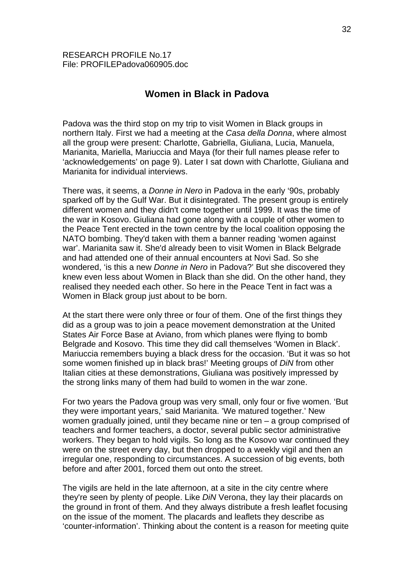# **Women in Black in Padova**

Padova was the third stop on my trip to visit Women in Black groups in northern Italy. First we had a meeting at the *Casa della Donna*, where almost all the group were present: Charlotte, Gabriella, Giuliana, Lucia, Manuela, Marianita, Mariella, Mariuccia and Maya (for their full names please refer to 'acknowledgements' on page 9). Later I sat down with Charlotte, Giuliana and Marianita for individual interviews.

There was, it seems, a *Donne in Nero* in Padova in the early '90s, probably sparked off by the Gulf War. But it disintegrated. The present group is entirely different women and they didn't come together until 1999. It was the time of the war in Kosovo. Giuliana had gone along with a couple of other women to the Peace Tent erected in the town centre by the local coalition opposing the NATO bombing. They'd taken with them a banner reading 'women against war'. Marianita saw it. She'd already been to visit Women in Black Belgrade and had attended one of their annual encounters at Novi Sad. So she wondered, 'is this a new *Donne in Nero* in Padova?' But she discovered they knew even less about Women in Black than she did. On the other hand, they realised they needed each other. So here in the Peace Tent in fact was a Women in Black group just about to be born.

At the start there were only three or four of them. One of the first things they did as a group was to join a peace movement demonstration at the United States Air Force Base at Aviano, from which planes were flying to bomb Belgrade and Kosovo. This time they did call themselves 'Women in Black'. Mariuccia remembers buying a black dress for the occasion. 'But it was so hot some women finished up in black bras!' Meeting groups of *DiN* from other Italian cities at these demonstrations, Giuliana was positively impressed by the strong links many of them had build to women in the war zone.

For two years the Padova group was very small, only four or five women. 'But they were important years,' said Marianita. 'We matured together.' New women gradually joined, until they became nine or ten – a group comprised of teachers and former teachers, a doctor, several public sector administrative workers. They began to hold vigils. So long as the Kosovo war continued they were on the street every day, but then dropped to a weekly vigil and then an irregular one, responding to circumstances. A succession of big events, both before and after 2001, forced them out onto the street.

The vigils are held in the late afternoon, at a site in the city centre where they're seen by plenty of people. Like *DiN* Verona, they lay their placards on the ground in front of them. And they always distribute a fresh leaflet focusing on the issue of the moment. The placards and leaflets they describe as 'counter-information'. Thinking about the content is a reason for meeting quite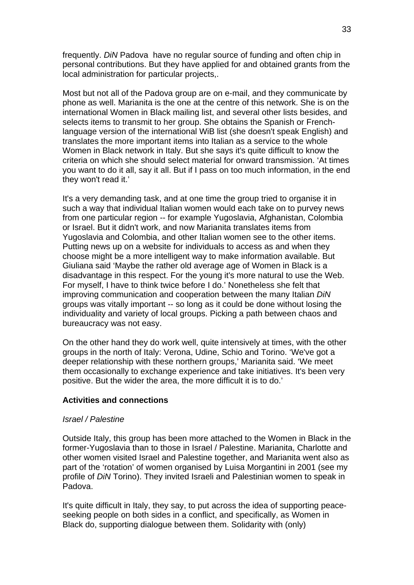frequently. *DiN* Padova have no regular source of funding and often chip in personal contributions. But they have applied for and obtained grants from the local administration for particular projects,.

Most but not all of the Padova group are on e-mail, and they communicate by phone as well. Marianita is the one at the centre of this network. She is on the international Women in Black mailing list, and several other lists besides, and selects items to transmit to her group. She obtains the Spanish or Frenchlanguage version of the international WiB list (she doesn't speak English) and translates the more important items into Italian as a service to the whole Women in Black network in Italy. But she says it's quite difficult to know the criteria on which she should select material for onward transmission. 'At times you want to do it all, say it all. But if I pass on too much information, in the end they won't read it.'

It's a very demanding task, and at one time the group tried to organise it in such a way that individual Italian women would each take on to purvey news from one particular region -- for example Yugoslavia, Afghanistan, Colombia or Israel. But it didn't work, and now Marianita translates items from Yugoslavia and Colombia, and other Italian women see to the other items. Putting news up on a website for individuals to access as and when they choose might be a more intelligent way to make information available. But Giuliana said 'Maybe the rather old average age of Women in Black is a disadvantage in this respect. For the young it's more natural to use the Web. For myself, I have to think twice before I do.' Nonetheless she felt that improving communication and cooperation between the many Italian *DiN* groups was vitally important -- so long as it could be done without losing the individuality and variety of local groups. Picking a path between chaos and bureaucracy was not easy.

On the other hand they do work well, quite intensively at times, with the other groups in the north of Italy: Verona, Udine, Schio and Torino. 'We've got a deeper relationship with these northern groups,' Marianita said. 'We meet them occasionally to exchange experience and take initiatives. It's been very positive. But the wider the area, the more difficult it is to do.'

# **Activities and connections**

#### *Israel / Palestine*

Outside Italy, this group has been more attached to the Women in Black in the former-Yugoslavia than to those in Israel / Palestine. Marianita, Charlotte and other women visited Israel and Palestine together, and Marianita went also as part of the 'rotation' of women organised by Luisa Morgantini in 2001 (see my profile of *DiN* Torino). They invited Israeli and Palestinian women to speak in Padova.

It's quite difficult in Italy, they say, to put across the idea of supporting peaceseeking people on both sides in a conflict, and specifically, as Women in Black do, supporting dialogue between them. Solidarity with (only)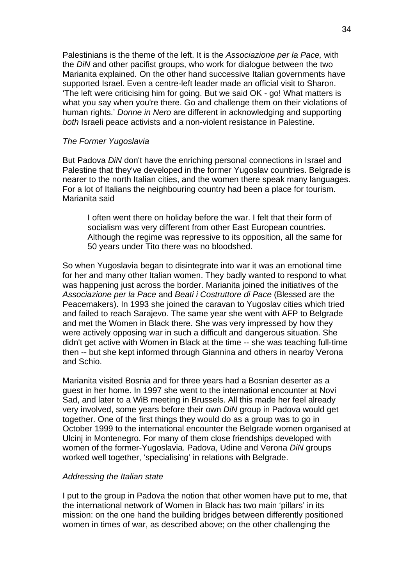Palestinians is the theme of the left. It is the *Associazione per la Pace,* with the *DiN* and other pacifist groups, who work for dialogue between the two Marianita explained*.* On the other hand successive Italian governments have supported Israel. Even a centre-left leader made an official visit to Sharon. 'The left were criticising him for going. But we said OK - go! What matters is what you say when you're there. Go and challenge them on their violations of human rights.' *Donne in Nero* are different in acknowledging and supporting *both* Israeli peace activists and a non-violent resistance in Palestine.

#### *The Former Yugoslavia*

But Padova *DiN* don't have the enriching personal connections in Israel and Palestine that they've developed in the former Yugoslav countries. Belgrade is nearer to the north Italian cities, and the women there speak many languages. For a lot of Italians the neighbouring country had been a place for tourism. Marianita said

I often went there on holiday before the war. I felt that their form of socialism was very different from other East European countries. Although the regime was repressive to its opposition, all the same for 50 years under Tito there was no bloodshed.

So when Yugoslavia began to disintegrate into war it was an emotional time for her and many other Italian women. They badly wanted to respond to what was happening just across the border. Marianita joined the initiatives of the *Associazione per la Pace* and *Beati i Costruttore di Pace* (Blessed are the Peacemakers). In 1993 she joined the caravan to Yugoslav cities which tried and failed to reach Sarajevo. The same year she went with AFP to Belgrade and met the Women in Black there. She was very impressed by how they were actively opposing war in such a difficult and dangerous situation. She didn't get active with Women in Black at the time -- she was teaching full-time then -- but she kept informed through Giannina and others in nearby Verona and Schio.

Marianita visited Bosnia and for three years had a Bosnian deserter as a guest in her home. In 1997 she went to the international encounter at Novi Sad, and later to a WiB meeting in Brussels. All this made her feel already very involved, some years before their own *DiN* group in Padova would get together. One of the first things they would do as a group was to go in October 1999 to the international encounter the Belgrade women organised at Ulcinj in Montenegro. For many of them close friendships developed with women of the former-Yugoslavia. Padova, Udine and Verona *DiN* groups worked well together, 'specialising' in relations with Belgrade.

#### *Addressing the Italian state*

I put to the group in Padova the notion that other women have put to me, that the international network of Women in Black has two main 'pillars' in its mission: on the one hand the building bridges between differently positioned women in times of war, as described above; on the other challenging the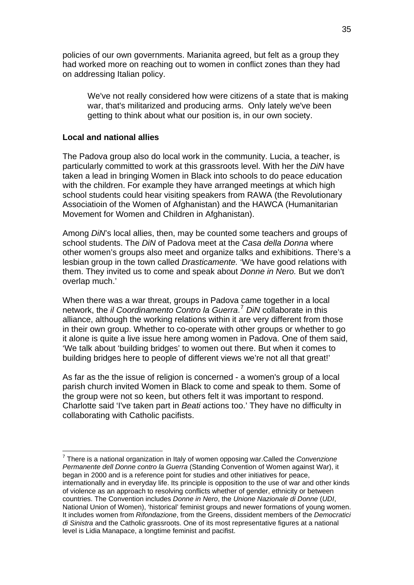policies of our own governments. Marianita agreed, but felt as a group they had worked more on reaching out to women in conflict zones than they had on addressing Italian policy.

We've not really considered how were citizens of a state that is making war, that's militarized and producing arms. Only lately we've been getting to think about what our position is, in our own society.

#### **Local and national allies**

1

The Padova group also do local work in the community. Lucia, a teacher, is particularly committed to work at this grassroots level. With her the *DiN* have taken a lead in bringing Women in Black into schools to do peace education with the children. For example they have arranged meetings at which high school students could hear visiting speakers from RAWA (the Revolutionary Associatioin of the Women of Afghanistan) and the HAWCA (Humanitarian Movement for Women and Children in Afghanistan).

Among *DiN*'s local allies, then, may be counted some teachers and groups of school students. The *DiN* of Padova meet at the *Casa della Donna* where other women's groups also meet and organize talks and exhibitions. There's a lesbian group in the town called *Drasticamente.* 'We have good relations with them. They invited us to come and speak about *Donne in Nero.* But we don't overlap much.'

When there was a war threat, groups in Padova came together in a local network, the *il Coordinamento Contro la Guerra*. [7](#page-34-0) *DiN* collaborate in this alliance, although the working relations within it are very different from those in their own group. Whether to co-operate with other groups or whether to go it alone is quite a live issue here among women in Padova. One of them said, 'We talk about 'building bridges' to women out there. But when it comes to building bridges here to people of different views we're not all that great!'

As far as the the issue of religion is concerned - a women's group of a local parish church invited Women in Black to come and speak to them. Some of the group were not so keen, but others felt it was important to respond. Charlotte said 'I've taken part in *Beati* actions too.' They have no difficulty in collaborating with Catholic pacifists.

<span id="page-34-0"></span><sup>7</sup> There is a national organization in Italy of women opposing war.Called the *Convenzione Permanente dell Donne contro la Guerra* (Standing Convention of Women against War), it began in 2000 and is a reference point for studies and other initiatives for peace, internationally and in everyday life. Its principle is opposition to the use of war and other kinds of violence as an approach to resolving conflicts whether of gender, ethnicity or between countries. The Convention includes *Donne in Nero*, the *Unione Nazionale di Donne* (*UDI*, National Union of Women), 'historical' feminist groups and newer formations of young women. It includes women from *Rifondazione*, from the Greens, dissident members of the *Democratici di Sinistra* and the Catholic grassroots. One of its most representative figures at a national level is Lidia Manapace, a longtime feminist and pacifist.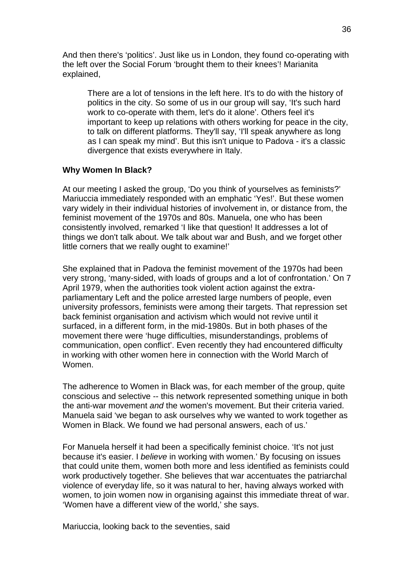And then there's 'politics'. Just like us in London, they found co-operating with the left over the Social Forum 'brought them to their knees'! Marianita explained,

There are a lot of tensions in the left here. It's to do with the history of politics in the city. So some of us in our group will say, 'It's such hard work to co-operate with them, let's do it alone'. Others feel it's important to keep up relations with others working for peace in the city, to talk on different platforms. They'll say, 'I'll speak anywhere as long as I can speak my mind'. But this isn't unique to Padova - it's a classic divergence that exists everywhere in Italy.

#### **Why Women In Black?**

At our meeting I asked the group, 'Do you think of yourselves as feminists?' Mariuccia immediately responded with an emphatic 'Yes!'. But these women vary widely in their individual histories of involvement in, or distance from, the feminist movement of the 1970s and 80s. Manuela, one who has been consistently involved, remarked 'I like that question! It addresses a lot of things we don't talk about. We talk about war and Bush, and we forget other little corners that we really ought to examine!'

She explained that in Padova the feminist movement of the 1970s had been very strong, 'many-sided, with loads of groups and a lot of confrontation.' On 7 April 1979, when the authorities took violent action against the extraparliamentary Left and the police arrested large numbers of people, even university professors, feminists were among their targets. That repression set back feminist organisation and activism which would not revive until it surfaced, in a different form, in the mid-1980s. But in both phases of the movement there were 'huge difficulties, misunderstandings, problems of communication, open conflict'. Even recently they had encountered difficulty in working with other women here in connection with the World March of Women.

The adherence to Women in Black was, for each member of the group, quite conscious and selective -- this network represented something unique in both the anti-war movement *and* the women's movement. But their criteria varied. Manuela said 'we began to ask ourselves why we wanted to work together as Women in Black. We found we had personal answers, each of us.'

For Manuela herself it had been a specifically feminist choice. 'It's not just because it's easier. I *believe* in working with women.' By focusing on issues that could unite them, women both more and less identified as feminists could work productively together. She believes that war accentuates the patriarchal violence of everyday life, so it was natural to her, having always worked with women, to join women now in organising against this immediate threat of war. 'Women have a different view of the world,' she says.

Mariuccia, looking back to the seventies, said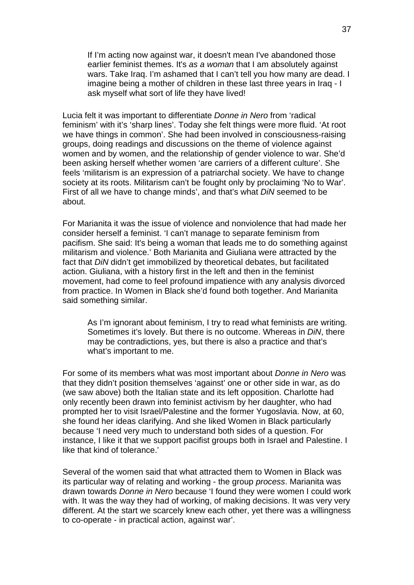If I'm acting now against war, it doesn't mean I've abandoned those earlier feminist themes. It's *as a woman* that I am absolutely against wars. Take Iraq. I'm ashamed that I can't tell you how many are dead. I imagine being a mother of children in these last three years in Iraq - I ask myself what sort of life they have lived!

Lucia felt it was important to differentiate *Donne in Nero* from 'radical feminism' with it's 'sharp lines'. Today she felt things were more fluid. 'At root we have things in common'. She had been involved in consciousness-raising groups, doing readings and discussions on the theme of violence against women and by women, and the relationship of gender violence to war. She'd been asking herself whether women 'are carriers of a different culture'. She feels 'militarism is an expression of a patriarchal society. We have to change society at its roots. Militarism can't be fought only by proclaiming 'No to War'. First of all we have to change minds', and that's what *DiN* seemed to be about.

For Marianita it was the issue of violence and nonviolence that had made her consider herself a feminist. 'I can't manage to separate feminism from pacifism. She said: It's being a woman that leads me to do something against militarism and violence.' Both Marianita and Giuliana were attracted by the fact that *DiN* didn't get immobilized by theoretical debates, but facilitated action. Giuliana, with a history first in the left and then in the feminist movement, had come to feel profound impatience with any analysis divorced from practice. In Women in Black she'd found both together. And Marianita said something similar.

As I'm ignorant about feminism, I try to read what feminists are writing. Sometimes it's lovely. But there is no outcome. Whereas in *DiN*, there may be contradictions, yes, but there is also a practice and that's what's important to me.

For some of its members what was most important about *Donne in Nero* was that they didn't position themselves 'against' one or other side in war, as do (we saw above) both the Italian state and its left opposition. Charlotte had only recently been drawn into feminist activism by her daughter, who had prompted her to visit Israel/Palestine and the former Yugoslavia. Now, at 60, she found her ideas clarifying. And she liked Women in Black particularly because 'I need very much to understand both sides of a question. For instance, I like it that we support pacifist groups both in Israel and Palestine. I like that kind of tolerance.'

Several of the women said that what attracted them to Women in Black was its particular way of relating and working - the group *process*. Marianita was drawn towards *Donne in Nero* because 'I found they were women I could work with. It was the way they had of working, of making decisions. It was very very different. At the start we scarcely knew each other, yet there was a willingness to co-operate - in practical action, against war'.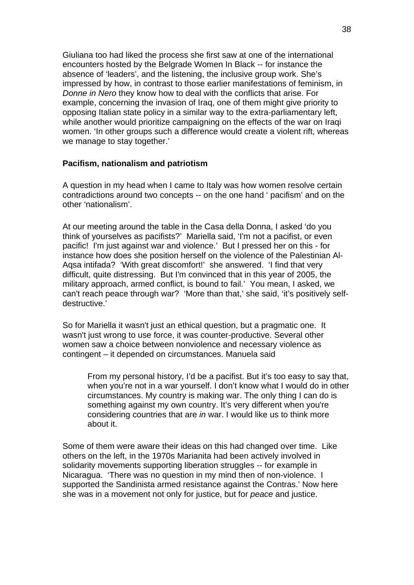Giuliana too had liked the process she first saw at one of the international encounters hosted by the Belgrade Women In Black -- for instance the absence of 'leaders', and the listening, the inclusive group work. She's impressed by how, in contrast to those earlier manifestations of feminism, in *Donne in Nero* they know how to deal with the conflicts that arise. For example, concerning the invasion of Iraq, one of them might give priority to opposing Italian state policy in a similar way to the extra-parliamentary left, while another would prioritize campaigning on the effects of the war on Iraqi women. 'In other groups such a difference would create a violent rift, whereas we manage to stay together.'

#### **Pacifism, nationalism and patriotism**

A question in my head when I came to Italy was how women resolve certain contradictions around two concepts -- on the one hand ' pacifism' and on the other 'nationalism'.

At our meeting around the table in the Casa della Donna, I asked 'do you think of yourselves as pacifists?' Mariella said, 'I'm not a pacifist, or even pacific! I'm just against war and violence.' But I pressed her on this - for instance how does she position herself on the violence of the Palestinian Al-Aqsa intifada? 'With great discomfort!' she answered. 'I find that very difficult, quite distressing. But I'm convinced that in this year of 2005, the military approach, armed conflict, is bound to fail.' You mean, I asked, we can't reach peace through war? 'More than that,' she said, 'it's positively selfdestructive.'

So for Mariella it wasn't just an ethical question, but a pragmatic one. It wasn't just wrong to use force, it was counter-productive. Several other women saw a choice between nonviolence and necessary violence as contingent – it depended on circumstances. Manuela said

From my personal history, I'd be a pacifist. But it's too easy to say that, when you're not in a war yourself. I don't know what I would do in other circumstances. My country is making war. The only thing I can do is something against my own country. It's very different when you're considering countries that are *in* war. I would like us to think more about it.

Some of them were aware their ideas on this had changed over time. Like others on the left, in the 1970s Marianita had been actively involved in solidarity movements supporting liberation struggles -- for example in Nicaragua. 'There was no question in my mind then of non-violence. I supported the Sandinista armed resistance against the Contras.' Now here she was in a movement not only for justice, but for *peace* and justice.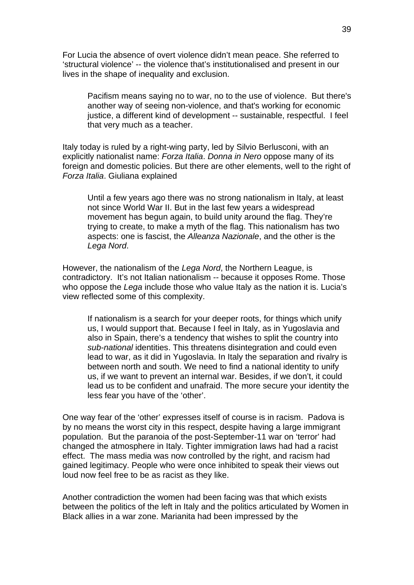For Lucia the absence of overt violence didn't mean peace. She referred to 'structural violence' -- the violence that's institutionalised and present in our lives in the shape of inequality and exclusion.

Pacifism means saying no to war, no to the use of violence. But there's another way of seeing non-violence, and that's working for economic justice, a different kind of development -- sustainable, respectful. I feel that very much as a teacher.

Italy today is ruled by a right-wing party, led by Silvio Berlusconi, with an explicitly nationalist name: *Forza Italia*. *Donna in Nero* oppose many of its foreign and domestic policies. But there are other elements, well to the right of *Forza Italia*. Giuliana explained

Until a few years ago there was no strong nationalism in Italy, at least not since World War II. But in the last few years a widespread movement has begun again, to build unity around the flag. They're trying to create, to make a myth of the flag. This nationalism has two aspects: one is fascist, the *Alleanza Nazionale*, and the other is the *Lega Nord*.

However, the nationalism of the *Lega Nord*, the Northern League, is contradictory. It's not Italian nationalism -- because it opposes Rome. Those who oppose the *Lega* include those who value Italy as the nation it is. Lucia's view reflected some of this complexity.

If nationalism is a search for your deeper roots, for things which unify us, I would support that. Because I feel in Italy, as in Yugoslavia and also in Spain, there's a tendency that wishes to split the country into *sub-national* identities. This threatens disintegration and could even lead to war, as it did in Yugoslavia. In Italy the separation and rivalry is between north and south. We need to find a national identity to unify us, if we want to prevent an internal war. Besides, if we don't, it could lead us to be confident and unafraid. The more secure your identity the less fear you have of the 'other'.

One way fear of the 'other' expresses itself of course is in racism. Padova is by no means the worst city in this respect, despite having a large immigrant population. But the paranoia of the post-September-11 war on 'terror' had changed the atmosphere in Italy. Tighter immigration laws had had a racist effect. The mass media was now controlled by the right, and racism had gained legitimacy. People who were once inhibited to speak their views out loud now feel free to be as racist as they like.

Another contradiction the women had been facing was that which exists between the politics of the left in Italy and the politics articulated by Women in Black allies in a war zone. Marianita had been impressed by the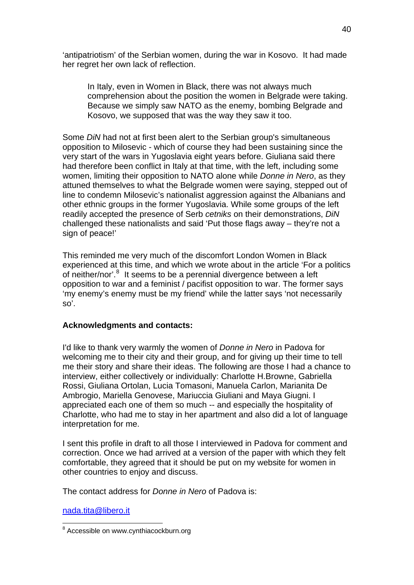'antipatriotism' of the Serbian women, during the war in Kosovo. It had made her regret her own lack of reflection.

In Italy, even in Women in Black, there was not always much comprehension about the position the women in Belgrade were taking. Because we simply saw NATO as the enemy, bombing Belgrade and Kosovo, we supposed that was the way they saw it too.

Some *DiN* had not at first been alert to the Serbian group's simultaneous opposition to Milosevic - which of course they had been sustaining since the very start of the wars in Yugoslavia eight years before. Giuliana said there had therefore been conflict in Italy at that time, with the left, including some women, limiting their opposition to NATO alone while *Donne in Nero*, as they attuned themselves to what the Belgrade women were saying, stepped out of line to condemn Milosevic's nationalist aggression against the Albanians and other ethnic groups in the former Yugoslavia. While some groups of the left readily accepted the presence of Serb *cetniks* on their demonstrations, *DiN* challenged these nationalists and said 'Put those flags away – they're not a sign of peace!'

This reminded me very much of the discomfort London Women in Black experienced at this time, and which we wrote about in the article 'For a politics of neither/nor'.<sup>[8](#page-39-0)</sup> It seems to be a perennial divergence between a left opposition to war and a feminist / pacifist opposition to war. The former says 'my enemy's enemy must be my friend' while the latter says 'not necessarily so'.

# **Acknowledgments and contacts:**

I'd like to thank very warmly the women of *Donne in Nero* in Padova for welcoming me to their city and their group, and for giving up their time to tell me their story and share their ideas. The following are those I had a chance to interview, either collectively or individually: Charlotte H.Browne, Gabriella Rossi, Giuliana Ortolan, Lucia Tomasoni, Manuela Carlon, Marianita De Ambrogio, Mariella Genovese, Mariuccia Giuliani and Maya Giugni. I appreciated each one of them so much -- and especially the hospitality of Charlotte, who had me to stay in her apartment and also did a lot of language interpretation for me.

I sent this profile in draft to all those I interviewed in Padova for comment and correction. Once we had arrived at a version of the paper with which they felt comfortable, they agreed that it should be put on my website for women in other countries to enjoy and discuss.

The contact address for *Donne in Nero* of Padova is:

[nada.tita@libero.it](mailto:nada.tita@libero.it) 

<span id="page-39-0"></span> 8 Accessible on www.cynthiacockburn.org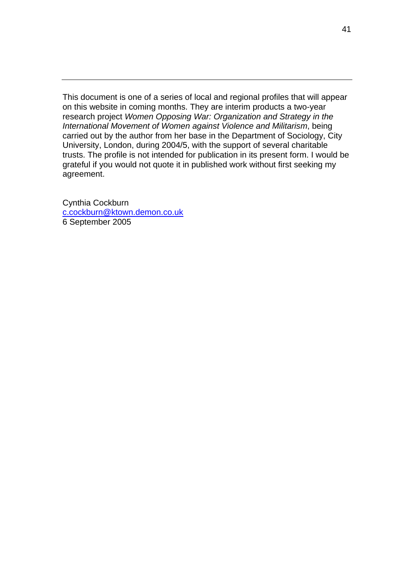This document is one of a series of local and regional profiles that will appear on this website in coming months. They are interim products a two-year research project *Women Opposing War: Organization and Strategy in the International Movement of Women against Violence and Militarism*, being carried out by the author from her base in the Department of Sociology, City University, London, during 2004/5, with the support of several charitable trusts. The profile is not intended for publication in its present form. I would be grateful if you would not quote it in published work without first seeking my agreement.

Cynthia Cockburn [c.cockburn@ktown.demon.co.uk](mailto:c.cockburn@ktown.demon.co.uk) 6 September 2005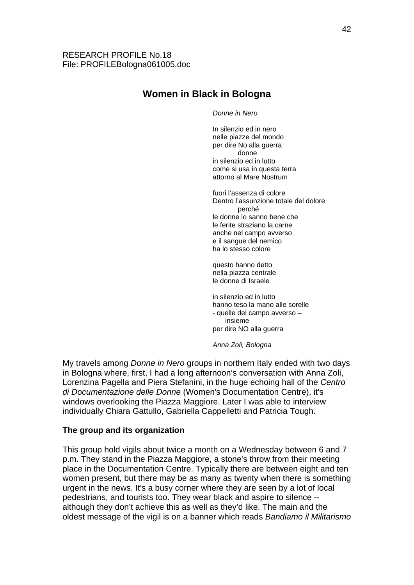# **Women in Black in Bologna**

#### *Donne in Nero*

In silenzio ed in nero nelle piazze del mondo per dire No alla guerra donne in silenzio ed in lutto come si usa in questa terra attorno al Mare Nostrum

fuori l'assenza di colore Dentro l'assunzione totale del dolore perché le donne lo sanno bene che le ferite straziano la carne anche nel campo avverso e il sangue del nemico ha lo stesso colore

questo hanno detto nella piazza centrale le donne di Israele

in silenzio ed in lutto hanno teso la mano alle sorelle - quelle del campo avverso – insieme per dire NO alla guerra

*Anna Zoli, Bologna* 

My travels among *Donne in Nero* groups in northern Italy ended with two days in Bologna where, first, I had a long afternoon's conversation with Anna Zoli, Lorenzina Pagella and Piera Stefanini, in the huge echoing hall of the *Centro di Documentazione delle Donne* (Women's Documentation Centre), it's windows overlooking the Piazza Maggiore. Later I was able to interview individually Chiara Gattullo, Gabriella Cappelletti and Patricia Tough.

# **The group and its organization**

This group hold vigils about twice a month on a Wednesday between 6 and 7 p.m. They stand in the Piazza Maggiore, a stone's throw from their meeting place in the Documentation Centre. Typically there are between eight and ten women present, but there may be as many as twenty when there is something urgent in the news. It's a busy corner where they are seen by a lot of local pedestrians, and tourists too. They wear black and aspire to silence - although they don't achieve this as well as they'd like. The main and the oldest message of the vigil is on a banner which reads *Bandiamo il Militarismo*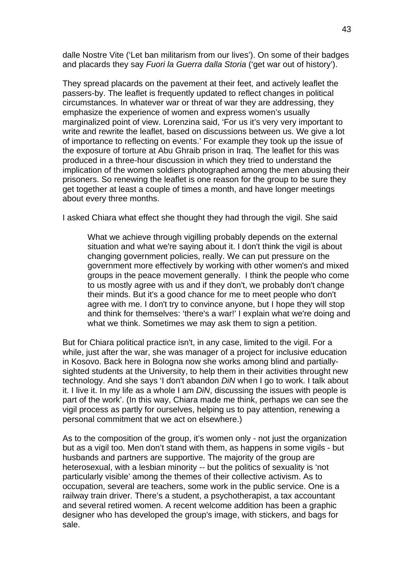dalle Nostre Vite ('Let ban militarism from our lives'). On some of their badges and placards they say *Fuori la Guerra dalla Storia* ('get war out of history').

They spread placards on the pavement at their feet, and actively leaflet the passers-by. The leaflet is frequently updated to reflect changes in political circumstances. In whatever war or threat of war they are addressing, they emphasize the experience of women and express women's usually marginalized point of view. Lorenzina said, 'For us it's very very important to write and rewrite the leaflet, based on discussions between us. We give a lot of importance to reflecting on events.' For example they took up the issue of the exposure of torture at Abu Ghraib prison in Iraq. The leaflet for this was produced in a three-hour discussion in which they tried to understand the implication of the women soldiers photographed among the men abusing their prisoners. So renewing the leaflet is one reason for the group to be sure they get together at least a couple of times a month, and have longer meetings about every three months.

I asked Chiara what effect she thought they had through the vigil. She said

What we achieve through vigilling probably depends on the external situation and what we're saying about it. I don't think the vigil is about changing government policies, really. We can put pressure on the government more effectively by working with other women's and mixed groups in the peace movement generally. I think the people who come to us mostly agree with us and if they don't, we probably don't change their minds. But it's a good chance for me to meet people who don't agree with me. I don't try to convince anyone, but I hope they will stop and think for themselves: 'there's a war!' I explain what we're doing and what we think. Sometimes we may ask them to sign a petition.

But for Chiara political practice isn't, in any case, limited to the vigil. For a while, just after the war, she was manager of a project for inclusive education in Kosovo. Back here in Bologna now she works among blind and partiallysighted students at the University, to help them in their activities throught new technology. And she says 'I don't abandon *DiN* when I go to work. I talk about it. I live it. In my life as a whole I am *DiN*, discussing the issues with people is part of the work'. (In this way, Chiara made me think, perhaps we can see the vigil process as partly for ourselves, helping us to pay attention, renewing a personal commitment that we act on elsewhere.)

As to the composition of the group, it's women only - not just the organization but as a vigil too. Men don't stand with them, as happens in some vigils - but husbands and partners are supportive. The majority of the group are heterosexual, with a lesbian minority -- but the politics of sexuality is 'not particularly visible' among the themes of their collective activism. As to occupation, several are teachers, some work in the public service. One is a railway train driver. There's a student, a psychotherapist, a tax accountant and several retired women. A recent welcome addition has been a graphic designer who has developed the group's image, with stickers, and bags for sale.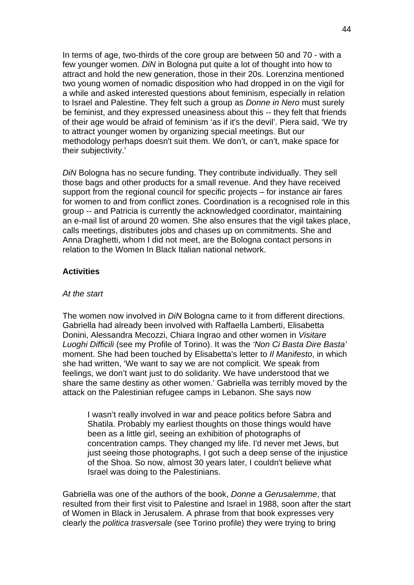In terms of age, two-thirds of the core group are between 50 and 70 - with a few younger women. *DiN* in Bologna put quite a lot of thought into how to attract and hold the new generation, those in their 20s. Lorenzina mentioned two young women of nomadic disposition who had dropped in on the vigil for a while and asked interested questions about feminism, especially in relation to Israel and Palestine. They felt such a group as *Donne in Nero* must surely be feminist, and they expressed uneasiness about this -- they felt that friends of their age would be afraid of feminism 'as if it's the devil'. Piera said, 'We try to attract younger women by organizing special meetings. But our methodology perhaps doesn't suit them. We don't, or can't, make space for their subjectivity.'

*DiN* Bologna has no secure funding. They contribute individually. They sell those bags and other products for a small revenue. And they have received support from the regional council for specific projects – for instance air fares for women to and from conflict zones. Coordination is a recognised role in this group -- and Patricia is currently the acknowledged coordinator, maintaining an e-mail list of around 20 women. She also ensures that the vigil takes place, calls meetings, distributes jobs and chases up on commitments. She and Anna Draghetti, whom I did not meet, are the Bologna contact persons in relation to the Women In Black Italian national network.

# **Activities**

#### *At the start*

The women now involved in *DiN* Bologna came to it from different directions. Gabriella had already been involved with Raffaella Lamberti, Elisabetta Donini, Alessandra Mecozzi, Chiara Ingrao and other women in *Visitare Luoghi Difficili* (see my Profile of Torino). It was the *'Non Ci Basta Dire Basta'*  moment. She had been touched by Elisabetta's letter to *Il Manifesto*, in which she had written, 'We want to say we are not complicit. We speak from feelings, we don't want just to do solidarity. We have understood that we share the same destiny as other women.' Gabriella was terribly moved by the attack on the Palestinian refugee camps in Lebanon. She says now

I wasn't really involved in war and peace politics before Sabra and Shatila. Probably my earliest thoughts on those things would have been as a little girl, seeing an exhibition of photographs of concentration camps. They changed my life. I'd never met Jews, but just seeing those photographs, I got such a deep sense of the injustice of the Shoa. So now, almost 30 years later, I couldn't believe what Israel was doing to the Palestinians.

Gabriella was one of the authors of the book, *Donne a Gerusalemme*, that resulted from their first visit to Palestine and Israel in 1988, soon after the start of Women in Black in Jerusalem. A phrase from that book expresses very clearly the *politica trasversale* (see Torino profile) they were trying to bring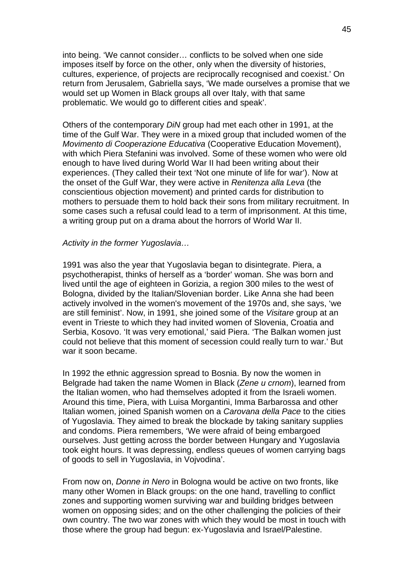into being. 'We cannot consider… conflicts to be solved when one side imposes itself by force on the other, only when the diversity of histories, cultures, experience, of projects are reciprocally recognised and coexist.' On return from Jerusalem, Gabriella says, 'We made ourselves a promise that we would set up Women in Black groups all over Italy, with that same problematic. We would go to different cities and speak'.

Others of the contemporary *DiN* group had met each other in 1991, at the time of the Gulf War. They were in a mixed group that included women of the *Movimento di Cooperazione Educativa* (Cooperative Education Movement), with which Piera Stefanini was involved. Some of these women who were old enough to have lived during World War II had been writing about their experiences. (They called their text 'Not one minute of life for war'). Now at the onset of the Gulf War, they were active in *Renitenza alla Leva* (the conscientious objection movement) and printed cards for distribution to mothers to persuade them to hold back their sons from military recruitment. In some cases such a refusal could lead to a term of imprisonment. At this time, a writing group put on a drama about the horrors of World War II.

#### *Activity in the former Yugoslavia…*

1991 was also the year that Yugoslavia began to disintegrate. Piera, a psychotherapist, thinks of herself as a 'border' woman. She was born and lived until the age of eighteen in Gorizia, a region 300 miles to the west of Bologna, divided by the Italian/Slovenian border. Like Anna she had been actively involved in the women's movement of the 1970s and, she says, 'we are still feminist'. Now, in 1991, she joined some of the *Visitare* group at an event in Trieste to which they had invited women of Slovenia, Croatia and Serbia, Kosovo. 'It was very emotional,' said Piera. 'The Balkan women just could not believe that this moment of secession could really turn to war.' But war it soon became.

In 1992 the ethnic aggression spread to Bosnia. By now the women in Belgrade had taken the name Women in Black (*Zene u crnom*), learned from the Italian women, who had themselves adopted it from the Israeli women. Around this time, Piera, with Luisa Morgantini, Imma Barbarossa and other Italian women, joined Spanish women on a *Carovana della Pace* to the cities of Yugoslavia. They aimed to break the blockade by taking sanitary supplies and condoms. Piera remembers, 'We were afraid of being embargoed ourselves. Just getting across the border between Hungary and Yugoslavia took eight hours. It was depressing, endless queues of women carrying bags of goods to sell in Yugoslavia, in Vojvodina'.

From now on, *Donne in Nero* in Bologna would be active on two fronts, like many other Women in Black groups: on the one hand, travelling to conflict zones and supporting women surviving war and building bridges between women on opposing sides; and on the other challenging the policies of their own country. The two war zones with which they would be most in touch with those where the group had begun: ex-Yugoslavia and Israel/Palestine.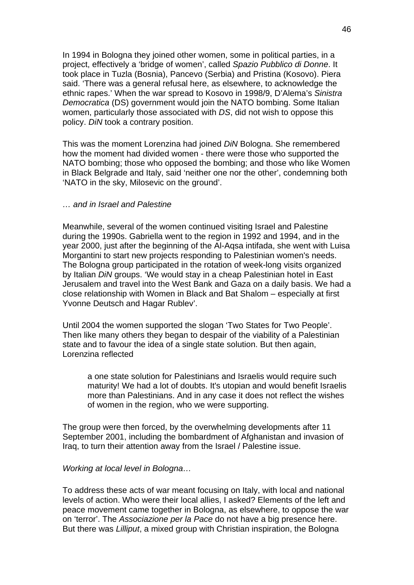In 1994 in Bologna they joined other women, some in political parties, in a project, effectively a 'bridge of women', called *Spazio Pubblico di Donne*. It took place in Tuzla (Bosnia), Pancevo (Serbia) and Pristina (Kosovo). Piera said. 'There was a general refusal here, as elsewhere, to acknowledge the ethnic rapes.' When the war spread to Kosovo in 1998/9, D'Alema's *Sinistra Democratica* (DS) government would join the NATO bombing. Some Italian women, particularly those associated with *DS*, did not wish to oppose this policy. *DiN* took a contrary position.

This was the moment Lorenzina had joined *DiN* Bologna. She remembered how the moment had divided women - there were those who supported the NATO bombing; those who opposed the bombing; and those who like Women in Black Belgrade and Italy, said 'neither one nor the other', condemning both 'NATO in the sky, Milosevic on the ground'.

# *… and in Israel and Palestine*

Meanwhile, several of the women continued visiting Israel and Palestine during the 1990s. Gabriella went to the region in 1992 and 1994, and in the year 2000, just after the beginning of the Al-Aqsa intifada, she went with Luisa Morgantini to start new projects responding to Palestinian women's needs. The Bologna group participated in the rotation of week-long visits organized by Italian *DiN* groups. 'We would stay in a cheap Palestinian hotel in East Jerusalem and travel into the West Bank and Gaza on a daily basis. We had a close relationship with Women in Black and Bat Shalom – especially at first Yvonne Deutsch and Hagar Rublev'.

Until 2004 the women supported the slogan 'Two States for Two People'. Then like many others they began to despair of the viability of a Palestinian state and to favour the idea of a single state solution. But then again, Lorenzina reflected

a one state solution for Palestinians and Israelis would require such maturity! We had a lot of doubts. It's utopian and would benefit Israelis more than Palestinians. And in any case it does not reflect the wishes of women in the region, who we were supporting.

The group were then forced, by the overwhelming developments after 11 September 2001, including the bombardment of Afghanistan and invasion of Iraq, to turn their attention away from the Israel / Palestine issue.

#### *Working at local level in Bologna…*

To address these acts of war meant focusing on Italy, with local and national levels of action. Who were their local allies, I asked? Elements of the left and peace movement came together in Bologna, as elsewhere, to oppose the war on 'terror'. The *Associazione per la Pace* do not have a big presence here. But there was *Lilliput*, a mixed group with Christian inspiration, the Bologna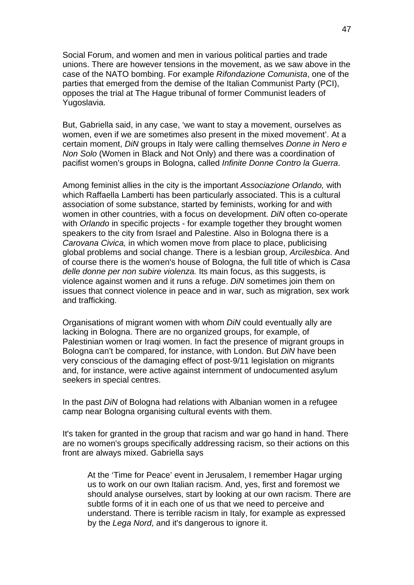Social Forum, and women and men in various political parties and trade unions. There are however tensions in the movement, as we saw above in the case of the NATO bombing. For example *Rifondazione Comunista*, one of the parties that emerged from the demise of the Italian Communist Party (PCI), opposes the trial at The Hague tribunal of former Communist leaders of Yugoslavia.

But, Gabriella said, in any case, 'we want to stay a movement, ourselves as women, even if we are sometimes also present in the mixed movement'. At a certain moment, *DiN* groups in Italy were calling themselves *Donne in Nero e Non Solo* (Women in Black and Not Only) and there was a coordination of pacifist women's groups in Bologna, called *Infinite Donne Contro la Guerra*.

Among feminist allies in the city is the important *Associazione Orlando,* with which Raffaella Lamberti has been particularly associated. This is a cultural association of some substance, started by feminists, working for and with women in other countries, with a focus on development. *DiN* often co-operate with *Orlando* in specific projects - for example together they brought women speakers to the city from Israel and Palestine. Also in Bologna there is a *Carovana Civica,* in which women move from place to place, publicising global problems and social change. There is a lesbian group, *Arcilesbica*. And of course there is the women's house of Bologna, the full title of which is *Casa delle donne per non subire violenza.* Its main focus, as this suggests, is violence against women and it runs a refuge. *DiN* sometimes join them on issues that connect violence in peace and in war, such as migration, sex work and trafficking.

Organisations of migrant women with whom *DiN* could eventually ally are lacking in Bologna. There are no organized groups, for example, of Palestinian women or Iraqi women. In fact the presence of migrant groups in Bologna can't be compared, for instance, with London. But *DiN* have been very conscious of the damaging effect of post-9/11 legislation on migrants and, for instance, were active against internment of undocumented asylum seekers in special centres.

In the past *DiN* of Bologna had relations with Albanian women in a refugee camp near Bologna organising cultural events with them.

It's taken for granted in the group that racism and war go hand in hand. There are no women's groups specifically addressing racism, so their actions on this front are always mixed. Gabriella says

At the 'Time for Peace' event in Jerusalem, I remember Hagar urging us to work on our own Italian racism. And, yes, first and foremost we should analyse ourselves, start by looking at our own racism. There are subtle forms of it in each one of us that we need to perceive and understand. There is terrible racism in Italy, for example as expressed by the *Lega Nord*, and it's dangerous to ignore it.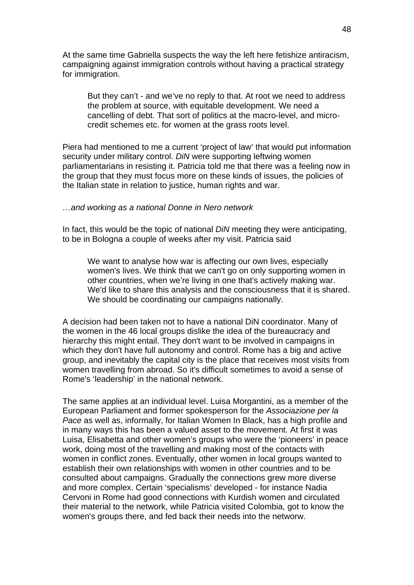At the same time Gabriella suspects the way the left here fetishize antiracism, campaigning against immigration controls without having a practical strategy for immigration.

But they can't - and we've no reply to that. At root we need to address the problem at source, with equitable development. We need a cancelling of debt. That sort of politics at the macro-level, and microcredit schemes etc. for women at the grass roots level.

Piera had mentioned to me a current 'project of law' that would put information security under military control. *DiN* were supporting leftwing women parliamentarians in resisting it. Patricia told me that there was a feeling now in the group that they must focus more on these kinds of issues, the policies of the Italian state in relation to justice, human rights and war.

#### *…and working as a national Donne in Nero network*

In fact, this would be the topic of national *DiN* meeting they were anticipating, to be in Bologna a couple of weeks after my visit. Patricia said

We want to analyse how war is affecting our own lives, especially women's lives. We think that we can't go on only supporting women in other countries, when we're living in one that's actively making war. We'd like to share this analysis and the consciousness that it is shared. We should be coordinating our campaigns nationally.

A decision had been taken not to have a national DiN coordinator. Many of the women in the 46 local groups dislike the idea of the bureaucracy and hierarchy this might entail. They don't want to be involved in campaigns in which they don't have full autonomy and control. Rome has a big and active group, and inevitably the capital city is the place that receives most visits from women travelling from abroad. So it's difficult sometimes to avoid a sense of Rome's 'leadership' in the national network.

The same applies at an individual level. Luisa Morgantini, as a member of the European Parliament and former spokesperson for the *Associazione per la Pace* as well as, informally, for Italian Women In Black, has a high profile and in many ways this has been a valued asset to the movement. At first it was Luisa, Elisabetta and other women's groups who were the 'pioneers' in peace work, doing most of the travelling and making most of the contacts with women in conflict zones. Eventually, other women in local groups wanted to establish their own relationships with women in other countries and to be consulted about campaigns. Gradually the connections grew more diverse and more complex. Certain 'specialisms' developed - for instance Nadia Cervoni in Rome had good connections with Kurdish women and circulated their material to the network, while Patricia visited Colombia, got to know the women's groups there, and fed back their needs into the networw.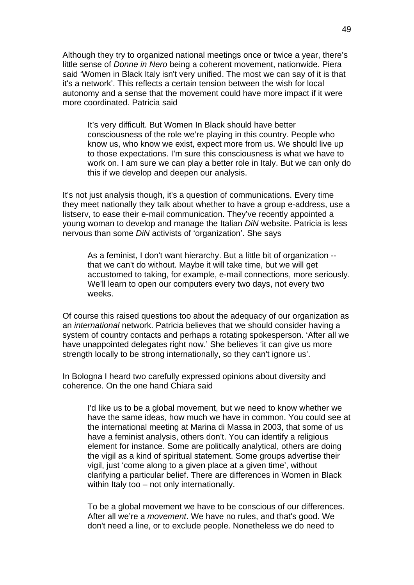Although they try to organized national meetings once or twice a year, there's little sense of *Donne in Nero* being a coherent movement, nationwide. Piera said 'Women in Black Italy isn't very unified. The most we can say of it is that it's a network'. This reflects a certain tension between the wish for local autonomy and a sense that the movement could have more impact if it were more coordinated. Patricia said

It's very difficult. But Women In Black should have better consciousness of the role we're playing in this country. People who know us, who know we exist, expect more from us. We should live up to those expectations. I'm sure this consciousness is what we have to work on. I am sure we can play a better role in Italy. But we can only do this if we develop and deepen our analysis.

It's not just analysis though, it's a question of communications. Every time they meet nationally they talk about whether to have a group e-address, use a listserv, to ease their e-mail communication. They've recently appointed a young woman to develop and manage the Italian *DiN* website. Patricia is less nervous than some *DiN* activists of 'organization'. She says

As a feminist, I don't want hierarchy. But a little bit of organization - that we can't do without. Maybe it will take time, but we will get accustomed to taking, for example, e-mail connections, more seriously. We'll learn to open our computers every two days, not every two weeks.

Of course this raised questions too about the adequacy of our organization as an *international* network. Patricia believes that we should consider having a system of country contacts and perhaps a rotating spokesperson. 'After all we have unappointed delegates right now.' She believes 'it can give us more strength locally to be strong internationally, so they can't ignore us'.

In Bologna I heard two carefully expressed opinions about diversity and coherence. On the one hand Chiara said

I'd like us to be a global movement, but we need to know whether we have the same ideas, how much we have in common. You could see at the international meeting at Marina di Massa in 2003, that some of us have a feminist analysis, others don't. You can identify a religious element for instance. Some are politically analytical, others are doing the vigil as a kind of spiritual statement. Some groups advertise their vigil, just 'come along to a given place at a given time', without clarifying a particular belief. There are differences in Women in Black within Italy too – not only internationally.

To be a global movement we have to be conscious of our differences. After all we're a *movement*. We have no rules, and that's good. We don't need a line, or to exclude people. Nonetheless we do need to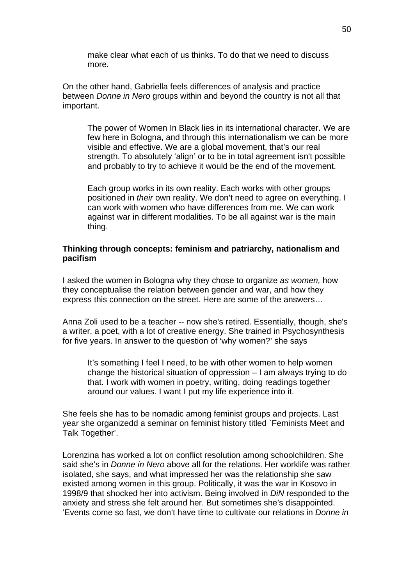make clear what each of us thinks. To do that we need to discuss more.

On the other hand, Gabriella feels differences of analysis and practice between *Donne in Nero* groups within and beyond the country is not all that important.

The power of Women In Black lies in its international character. We are few here in Bologna, and through this internationalism we can be more visible and effective. We are a global movement, that's our real strength. To absolutely 'align' or to be in total agreement isn't possible and probably to try to achieve it would be the end of the movement.

Each group works in its own reality. Each works with other groups positioned in *their* own reality. We don't need to agree on everything. I can work with women who have differences from me. We can work against war in different modalities. To be all against war is the main thing.

## **Thinking through concepts: feminism and patriarchy, nationalism and pacifism**

I asked the women in Bologna why they chose to organize *as women,* how they conceptualise the relation between gender and war, and how they express this connection on the street. Here are some of the answers…

Anna Zoli used to be a teacher -- now she's retired. Essentially, though, she's a writer, a poet, with a lot of creative energy. She trained in Psychosynthesis for five years. In answer to the question of 'why women?' she says

It's something I feel I need, to be with other women to help women change the historical situation of oppression – I am always trying to do that. I work with women in poetry, writing, doing readings together around our values. I want I put my life experience into it.

She feels she has to be nomadic among feminist groups and projects. Last year she organizedd a seminar on feminist history titled `Feminists Meet and Talk Together'.

Lorenzina has worked a lot on conflict resolution among schoolchildren. She said she's in *Donne in Nero* above all for the relations. Her worklife was rather isolated, she says, and what impressed her was the relationship she saw existed among women in this group. Politically, it was the war in Kosovo in 1998/9 that shocked her into activism. Being involved in *DiN* responded to the anxiety and stress she felt around her. But sometimes she's disappointed. 'Events come so fast, we don't have time to cultivate our relations in *Donne in*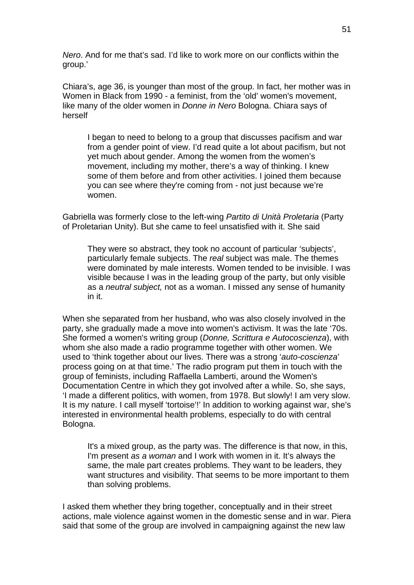*Nero*. And for me that's sad. I'd like to work more on our conflicts within the group.'

Chiara's, age 36, is younger than most of the group. In fact, her mother was in Women in Black from 1990 - a feminist, from the 'old' women's movement, like many of the older women in *Donne in Nero* Bologna. Chiara says of herself

I began to need to belong to a group that discusses pacifism and war from a gender point of view. I'd read quite a lot about pacifism, but not yet much about gender. Among the women from the women's movement, including my mother, there's a way of thinking. I knew some of them before and from other activities. I joined them because you can see where they're coming from - not just because we're women.

Gabriella was formerly close to the left-wing *Partito di Unità Proletaria* (Party of Proletarian Unity). But she came to feel unsatisfied with it. She said

They were so abstract, they took no account of particular 'subjects', particularly female subjects. The *real* subject was male. The themes were dominated by male interests. Women tended to be invisible. I was visible because I was in the leading group of the party, but only visible as a *neutral subject,* not as a woman. I missed any sense of humanity in it.

When she separated from her husband, who was also closely involved in the party, she gradually made a move into women's activism. It was the late '70s. She formed a women's writing group (*Donne, Scrittura e Autocoscienza*), with whom she also made a radio programme together with other women. We used to 'think together about our lives. There was a strong '*auto-coscienza*' process going on at that time.' The radio program put them in touch with the group of feminists, including Raffaella Lamberti, around the Women's Documentation Centre in which they got involved after a while. So, she says, 'I made a different politics, with women, from 1978. But slowly! I am very slow. It is my nature. I call myself 'tortoise'!' In addition to working against war, she's interested in environmental health problems, especially to do with central Bologna.

It's a mixed group, as the party was. The difference is that now, in this, I'm present *as a woman* and I work with women in it. It's always the same, the male part creates problems. They want to be leaders, they want structures and visibility. That seems to be more important to them than solving problems.

I asked them whether they bring together, conceptually and in their street actions, male violence against women in the domestic sense and in war. Piera said that some of the group are involved in campaigning against the new law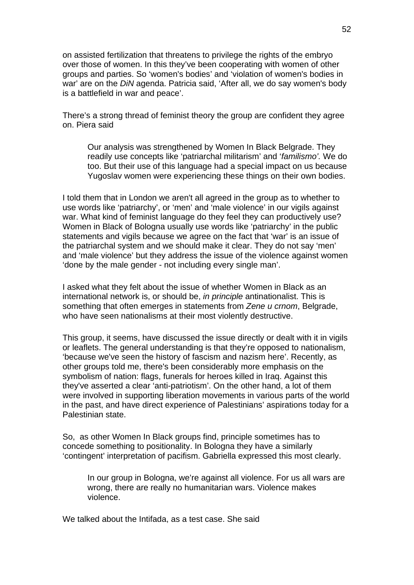on assisted fertilization that threatens to privilege the rights of the embryo over those of women. In this they've been cooperating with women of other groups and parties. So 'women's bodies' and 'violation of women's bodies in war' are on the *DiN* agenda. Patricia said, 'After all, we do say women's body is a battlefield in war and peace'.

There's a strong thread of feminist theory the group are confident they agree on. Piera said

Our analysis was strengthened by Women In Black Belgrade. They readily use concepts like 'patriarchal militarism' and '*familismo'.* We do too. But their use of this language had a special impact on us because Yugoslav women were experiencing these things on their own bodies.

I told them that in London we aren't all agreed in the group as to whether to use words like 'patriarchy', or 'men' and 'male violence' in our vigils against war. What kind of feminist language do they feel they can productively use? Women in Black of Bologna usually use words like 'patriarchy' in the public statements and vigils because we agree on the fact that 'war' is an issue of the patriarchal system and we should make it clear. They do not say 'men' and 'male violence' but they address the issue of the violence against women 'done by the male gender - not including every single man'.

I asked what they felt about the issue of whether Women in Black as an international network is, or should be, *in principle* antinationalist. This is something that often emerges in statements from *Zene u crnom*, Belgrade, who have seen nationalisms at their most violently destructive.

This group, it seems, have discussed the issue directly or dealt with it in vigils or leaflets. The general understanding is that they're opposed to nationalism, 'because we've seen the history of fascism and nazism here'. Recently, as other groups told me, there's been considerably more emphasis on the symbolism of nation: flags, funerals for heroes killed in Iraq. Against this they've asserted a clear 'anti-patriotism'. On the other hand, a lot of them were involved in supporting liberation movements in various parts of the world in the past, and have direct experience of Palestinians' aspirations today for a Palestinian state.

So, as other Women In Black groups find, principle sometimes has to concede something to positionality. In Bologna they have a similarly 'contingent' interpretation of pacifism. Gabriella expressed this most clearly.

In our group in Bologna, we're against all violence. For us all wars are wrong, there are really no humanitarian wars. Violence makes violence.

We talked about the Intifada, as a test case. She said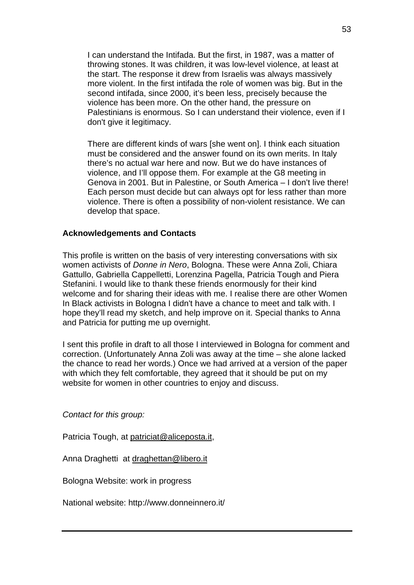I can understand the Intifada. But the first, in 1987, was a matter of throwing stones. It was children, it was low-level violence, at least at the start. The response it drew from Israelis was always massively more violent. In the first intifada the role of women was big. But in the second intifada, since 2000, it's been less, precisely because the violence has been more. On the other hand, the pressure on Palestinians is enormous. So I can understand their violence, even if I don't give it legitimacy.

There are different kinds of wars [she went on]. I think each situation must be considered and the answer found on its own merits. In Italy there's no actual war here and now. But we do have instances of violence, and I'll oppose them. For example at the G8 meeting in Genova in 2001. But in Palestine, or South America – I don't live there! Each person must decide but can always opt for less rather than more violence. There is often a possibility of non-violent resistance. We can develop that space.

#### **Acknowledgements and Contacts**

This profile is written on the basis of very interesting conversations with six women activists of *Donne in Nero*, Bologna. These were Anna Zoli, Chiara Gattullo, Gabriella Cappelletti, Lorenzina Pagella, Patricia Tough and Piera Stefanini. I would like to thank these friends enormously for their kind welcome and for sharing their ideas with me. I realise there are other Women In Black activists in Bologna I didn't have a chance to meet and talk with. I hope they'll read my sketch, and help improve on it. Special thanks to Anna and Patricia for putting me up overnight.

I sent this profile in draft to all those I interviewed in Bologna for comment and correction. (Unfortunately Anna Zoli was away at the time – she alone lacked the chance to read her words.) Once we had arrived at a version of the paper with which they felt comfortable, they agreed that it should be put on my website for women in other countries to enjoy and discuss.

*Contact for this group:* 

Patricia Tough, at [patriciat@aliceposta.it,](mailto:patriciat@aliceposta.it)

Anna Draghetti at [draghettan@libero.it](http://by103fd.bay103.hotmail.msn.com/cgi-bin/addresses?&curmbox=00000000%2d0000%2d0000%2d0000%2d000000000001&a=481a11f4bb276dfce293436a8dcea4a57ce71fcdff6e1d1883864b08d7887683##)

Bologna Website: work in progress

National website: http://www.donneinnero.it/